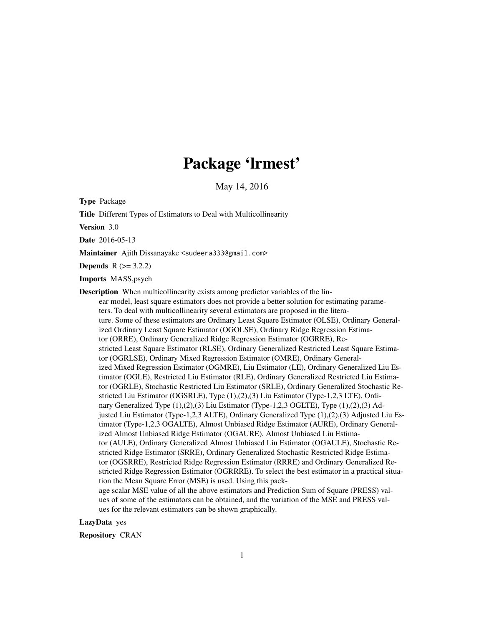# Package 'lrmest'

May 14, 2016

<span id="page-0-0"></span>Type Package

Title Different Types of Estimators to Deal with Multicollinearity

Version 3.0

Date 2016-05-13

Maintainer Ajith Dissanayake <sudeera333@gmail.com>

**Depends**  $R (= 3.2.2)$ 

Imports MASS,psych

Description When multicollinearity exists among predictor variables of the linear model, least square estimators does not provide a better solution for estimating parameters. To deal with multicollinearity several estimators are proposed in the literature. Some of these estimators are Ordinary Least Square Estimator (OLSE), Ordinary Generalized Ordinary Least Square Estimator (OGOLSE), Ordinary Ridge Regression Estimator (ORRE), Ordinary Generalized Ridge Regression Estimator (OGRRE), Restricted Least Square Estimator (RLSE), Ordinary Generalized Restricted Least Square Estimator (OGRLSE), Ordinary Mixed Regression Estimator (OMRE), Ordinary Generalized Mixed Regression Estimator (OGMRE), Liu Estimator (LE), Ordinary Generalized Liu Estimator (OGLE), Restricted Liu Estimator (RLE), Ordinary Generalized Restricted Liu Estimator (OGRLE), Stochastic Restricted Liu Estimator (SRLE), Ordinary Generalized Stochastic Restricted Liu Estimator (OGSRLE), Type (1),(2),(3) Liu Estimator (Type-1,2,3 LTE), Ordinary Generalized Type (1),(2),(3) Liu Estimator (Type-1,2,3 OGLTE), Type (1),(2),(3) Adjusted Liu Estimator (Type-1,2,3 ALTE), Ordinary Generalized Type (1),(2),(3) Adjusted Liu Estimator (Type-1,2,3 OGALTE), Almost Unbiased Ridge Estimator (AURE), Ordinary Generalized Almost Unbiased Ridge Estimator (OGAURE), Almost Unbiased Liu Estimator (AULE), Ordinary Generalized Almost Unbiased Liu Estimator (OGAULE), Stochastic Restricted Ridge Estimator (SRRE), Ordinary Generalized Stochastic Restricted Ridge Estimator (OGSRRE), Restricted Ridge Regression Estimator (RRRE) and Ordinary Generalized Restricted Ridge Regression Estimator (OGRRRE). To select the best estimator in a practical situation the Mean Square Error (MSE) is used. Using this package scalar MSE value of all the above estimators and Prediction Sum of Square (PRESS) values of some of the estimators can be obtained, and the variation of the MSE and PRESS values for the relevant estimators can be shown graphically.

LazyData yes

Repository CRAN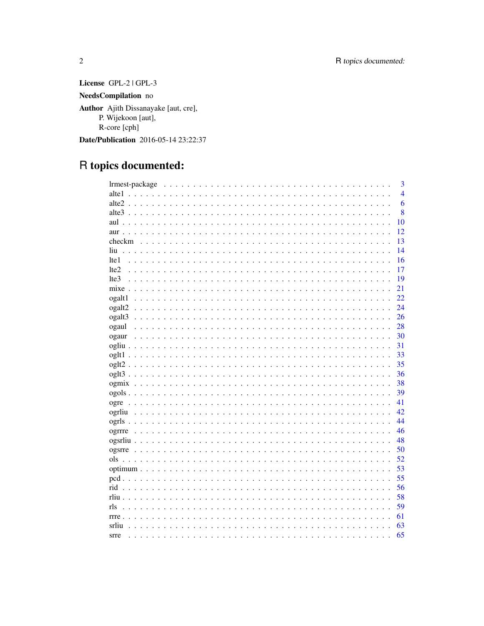License GPL-2 | GPL-3  $\boldsymbol{\text{NeedsCompilation}}$ no Author Ajith Dissanayake [aut, cre], P. Wijekoon [aut], R-core [cph] Date/Publication 2016-05-14 23:22:37

## R topics documented:

| 3              |
|----------------|
| $\overline{4}$ |
| 6              |
| 8              |
| 10             |
| 12             |
| 13<br>checkm   |
| 14             |
| 16<br>lte 1    |
| 17<br>1te2     |
| 19<br>lte3     |
| 21             |
| 22<br>ogalt1   |
| 24<br>ogalt2   |
| ogalt3<br>26   |
| 28<br>ogaul    |
| 30<br>ogaur    |
| 31             |
| 33             |
| 35             |
| 36             |
| 38             |
| 39             |
| 41             |
| 42.            |
| 44             |
| 46             |
| 48             |
| 50             |
| 52<br>ols      |
| 53             |
| 55             |
| 56             |
| 58             |
| 59<br>rls      |
| 61             |
| 63<br>srliu    |
| 65<br>srre     |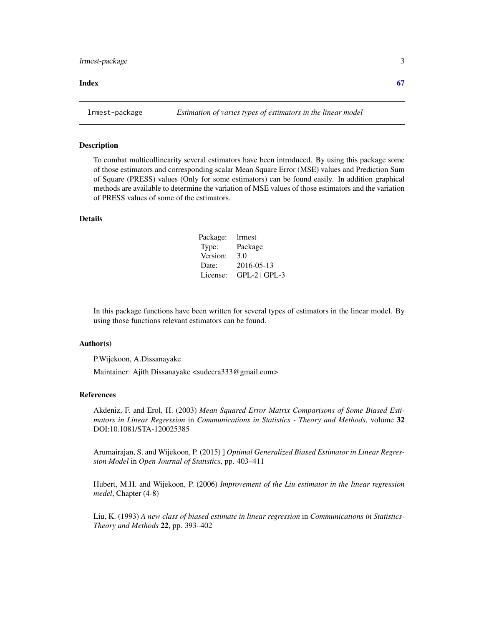#### <span id="page-2-0"></span>**Index** [67](#page-66-0)

lrmest-package *Estimation of varies types of estimators in the linear model*

#### Description

To combat multicollinearity several estimators have been introduced. By using this package some of those estimators and corresponding scalar Mean Square Error (MSE) values and Prediction Sum of Square (PRESS) values (Only for some estimators) can be found easily. In addition graphical methods are available to determine the variation of MSE values of those estimators and the variation of PRESS values of some of the estimators.

#### Details

| Package: | lrmest          |
|----------|-----------------|
| Type:    | Package         |
| Version: | 3.0             |
| Date:    | 2016-05-13      |
| License: | $GPL-2$ $GPL-3$ |

In this package functions have been written for several types of estimators in the linear model. By using those functions relevant estimators can be found.

#### Author(s)

P.Wijekoon, A.Dissanayake

Maintainer: Ajith Dissanayake <sudeera333@gmail.com>

#### References

Akdeniz, F. and Erol, H. (2003) *Mean Squared Error Matrix Comparisons of Some Biased Estimators in Linear Regression* in *Communications in Statistics - Theory and Methods*, volume 32 DOI:10.1081/STA-120025385

Arumairajan, S. and Wijekoon, P. (2015) ] *Optimal Generalized Biased Estimator in Linear Regression Model* in *Open Journal of Statistics*, pp. 403–411

Hubert, M.H. and Wijekoon, P. (2006) *Improvement of the Liu estimator in the linear regression medel*, Chapter (4-8)

Liu, K. (1993) *A new class of biased estimate in linear regression* in *Communications in Statistics-Theory and Methods* 22, pp. 393–402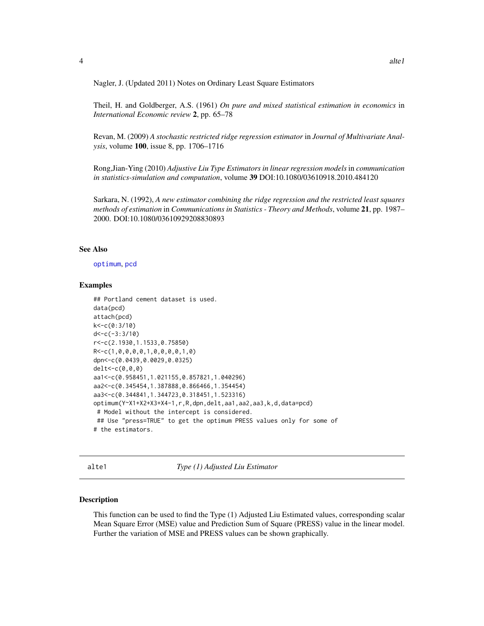<span id="page-3-0"></span>Nagler, J. (Updated 2011) Notes on Ordinary Least Square Estimators

Theil, H. and Goldberger, A.S. (1961) *On pure and mixed statistical estimation in economics* in *International Economic review* 2, pp. 65–78

Revan, M. (2009) *A stochastic restricted ridge regression estimator* in *Journal of Multivariate Analysis*, volume 100, issue 8, pp. 1706–1716

Rong,Jian-Ying (2010) *Adjustive Liu Type Estimators in linear regression models* in *communication in statistics-simulation and computation*, volume 39 DOI:10.1080/03610918.2010.484120

Sarkara, N. (1992), *A new estimator combining the ridge regression and the restricted least squares methods of estimation* in *Communications in Statistics - Theory and Methods*, volume 21, pp. 1987– 2000. DOI:10.1080/03610929208830893

#### See Also

[optimum](#page-52-1), [pcd](#page-54-1)

#### Examples

```
## Portland cement dataset is used.
data(pcd)
attach(pcd)
k<-c(0:3/10)
d < -c(-3:3/10)r<-c(2.1930,1.1533,0.75850)
R<-c(1,0,0,0,0,1,0,0,0,0,1,0)
dpn<-c(0.0439,0.0029,0.0325)
delt<-c(0,0,0)
aa1<-c(0.958451,1.021155,0.857821,1.040296)
aa2<-c(0.345454,1.387888,0.866466,1.354454)
aa3<-c(0.344841,1.344723,0.318451,1.523316)
optimum(Y~X1+X2+X3+X4-1,r,R,dpn,delt,aa1,aa2,aa3,k,d,data=pcd)
# Model without the intercept is considered.
## Use "press=TRUE" to get the optimum PRESS values only for some of
# the estimators.
```
alte1 *Type (1) Adjusted Liu Estimator*

#### Description

This function can be used to find the Type (1) Adjusted Liu Estimated values, corresponding scalar Mean Square Error (MSE) value and Prediction Sum of Square (PRESS) value in the linear model. Further the variation of MSE and PRESS values can be shown graphically.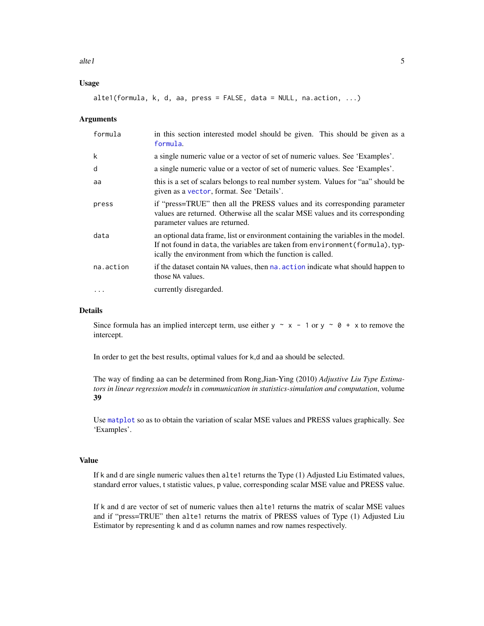<span id="page-4-0"></span> $\lambda$  alte 1  $\lambda$  5

#### Usage

alte1(formula,  $k$ ,  $d$ , aa, press = FALSE, data = NULL, na.action, ...)

#### **Arguments**

| formula   | in this section interested model should be given. This should be given as a<br>formula.                                                                                                                                           |
|-----------|-----------------------------------------------------------------------------------------------------------------------------------------------------------------------------------------------------------------------------------|
| k         | a single numeric value or a vector of set of numeric values. See 'Examples'.                                                                                                                                                      |
| d         | a single numeric value or a vector of set of numeric values. See 'Examples'.                                                                                                                                                      |
| aa        | this is a set of scalars belongs to real number system. Values for "aa" should be<br>given as a vector, format. See 'Details'.                                                                                                    |
| press     | if "press=TRUE" then all the PRESS values and its corresponding parameter<br>values are returned. Otherwise all the scalar MSE values and its corresponding<br>parameter values are returned.                                     |
| data      | an optional data frame, list or environment containing the variables in the model.<br>If not found in data, the variables are taken from environment (formula), typ-<br>ically the environment from which the function is called. |
| na.action | if the dataset contain NA values, then na, action indicate what should happen to<br>those NA values.                                                                                                                              |
| $\cdots$  | currently disregarded.                                                                                                                                                                                                            |

#### Details

Since formula has an implied intercept term, use either y  $\sim x - 1$  or y  $\sim \emptyset + x$  to remove the intercept.

In order to get the best results, optimal values for k,d and aa should be selected.

The way of finding aa can be determined from Rong,Jian-Ying (2010) *Adjustive Liu Type Estimators in linear regression models* in *communication in statistics-simulation and computation*, volume 39

Use [matplot](#page-0-0) so as to obtain the variation of scalar MSE values and PRESS values graphically. See 'Examples'.

#### Value

If k and d are single numeric values then alte1 returns the Type (1) Adjusted Liu Estimated values, standard error values, t statistic values, p value, corresponding scalar MSE value and PRESS value.

If k and d are vector of set of numeric values then alte1 returns the matrix of scalar MSE values and if "press=TRUE" then alte1 returns the matrix of PRESS values of Type (1) Adjusted Liu Estimator by representing k and d as column names and row names respectively.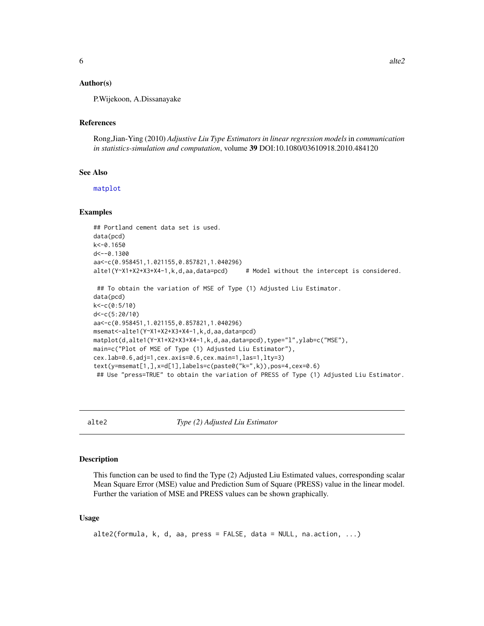<span id="page-5-0"></span>P.Wijekoon, A.Dissanayake

#### References

Rong,Jian-Ying (2010) *Adjustive Liu Type Estimators in linear regression models* in *communication in statistics-simulation and computation*, volume 39 DOI:10.1080/03610918.2010.484120

#### See Also

[matplot](#page-0-0)

#### Examples

```
## Portland cement data set is used.
data(pcd)
k<-0.1650
d <-- 0.1300
aa<-c(0.958451,1.021155,0.857821,1.040296)
alte1(Y~X1+X2+X3+X4-1,k,d,aa,data=pcd) # Model without the intercept is considered.
## To obtain the variation of MSE of Type (1) Adjusted Liu Estimator.
data(pcd)
k<-c(0:5/10)
d<-c(5:20/10)
aa<-c(0.958451,1.021155,0.857821,1.040296)
msemat<-alte1(Y~X1+X2+X3+X4-1,k,d,aa,data=pcd)
matplot(d,alte1(Y~X1+X2+X3+X4-1,k,d,aa,data=pcd),type="l",ylab=c("MSE"),
main=c("Plot of MSE of Type (1) Adjusted Liu Estimator"),
cex.lab=0.6,adj=1,cex.axis=0.6,cex.main=1,las=1,lty=3)
text(y=msemat[1,],x=d[1],labels=c(paste0("k=",k)),pos=4,cex=0.6)
## Use "press=TRUE" to obtain the variation of PRESS of Type (1) Adjusted Liu Estimator.
```
alte2 *Type (2) Adjusted Liu Estimator*

#### Description

This function can be used to find the Type (2) Adjusted Liu Estimated values, corresponding scalar Mean Square Error (MSE) value and Prediction Sum of Square (PRESS) value in the linear model. Further the variation of MSE and PRESS values can be shown graphically.

#### Usage

```
alte2(formula, k, d, aa, press = FALSE, data = NULL, na.action, ...)
```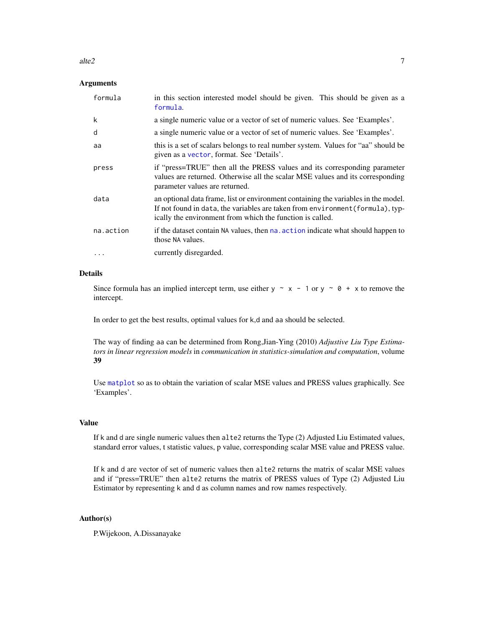#### <span id="page-6-0"></span>alte2  $\sim$  7

#### Arguments

| formula   | in this section interested model should be given. This should be given as a<br>formula.                                                                                                                                           |
|-----------|-----------------------------------------------------------------------------------------------------------------------------------------------------------------------------------------------------------------------------------|
| k         | a single numeric value or a vector of set of numeric values. See 'Examples'.                                                                                                                                                      |
| d         | a single numeric value or a vector of set of numeric values. See 'Examples'.                                                                                                                                                      |
| aa        | this is a set of scalars belongs to real number system. Values for "aa" should be<br>given as a vector, format. See 'Details'.                                                                                                    |
| press     | if "press=TRUE" then all the PRESS values and its corresponding parameter<br>values are returned. Otherwise all the scalar MSE values and its corresponding<br>parameter values are returned.                                     |
| data      | an optional data frame, list or environment containing the variables in the model.<br>If not found in data, the variables are taken from environment (formula), typ-<br>ically the environment from which the function is called. |
| na.action | if the dataset contain NA values, then na, action indicate what should happen to<br>those NA values.                                                                                                                              |
| .         | currently disregarded.                                                                                                                                                                                                            |

#### Details

Since formula has an implied intercept term, use either y  $\sim x - 1$  or y  $\sim \theta + x$  to remove the intercept.

In order to get the best results, optimal values for k,d and aa should be selected.

The way of finding aa can be determined from Rong,Jian-Ying (2010) *Adjustive Liu Type Estimators in linear regression models* in *communication in statistics-simulation and computation*, volume 39

Use [matplot](#page-0-0) so as to obtain the variation of scalar MSE values and PRESS values graphically. See 'Examples'.

#### Value

If k and d are single numeric values then alte2 returns the Type (2) Adjusted Liu Estimated values, standard error values, t statistic values, p value, corresponding scalar MSE value and PRESS value.

If k and d are vector of set of numeric values then alte2 returns the matrix of scalar MSE values and if "press=TRUE" then alte2 returns the matrix of PRESS values of Type (2) Adjusted Liu Estimator by representing k and d as column names and row names respectively.

#### Author(s)

P.Wijekoon, A.Dissanayake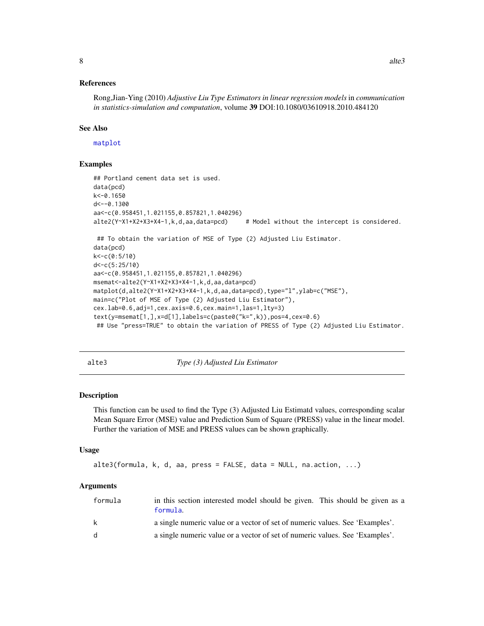#### <span id="page-7-0"></span>References

Rong,Jian-Ying (2010) *Adjustive Liu Type Estimators in linear regression models* in *communication in statistics-simulation and computation*, volume 39 DOI:10.1080/03610918.2010.484120

#### See Also

[matplot](#page-0-0)

#### Examples

```
## Portland cement data set is used.
data(pcd)
k<-0.1650
d<--0.1300
aa<-c(0.958451,1.021155,0.857821,1.040296)
alte2(Y~X1+X2+X3+X4-1,k,d,aa,data=pcd) # Model without the intercept is considered.
## To obtain the variation of MSE of Type (2) Adjusted Liu Estimator.
data(pcd)
k<-c(0:5/10)
d<-c(5:25/10)
aa<-c(0.958451,1.021155,0.857821,1.040296)
msemat<-alte2(Y~X1+X2+X3+X4-1,k,d,aa,data=pcd)
matplot(d,alte2(Y~X1+X2+X3+X4-1,k,d,aa,data=pcd),type="l",ylab=c("MSE"),
main=c("Plot of MSE of Type (2) Adjusted Liu Estimator"),
cex.lab=0.6,adj=1,cex.axis=0.6,cex.main=1,las=1,lty=3)
text(y=msemat[1,],x=d[1],labels=c(paste0("k=",k)),pos=4,cex=0.6)
## Use "press=TRUE" to obtain the variation of PRESS of Type (2) Adjusted Liu Estimator.
```
alte3 *Type (3) Adjusted Liu Estimator*

#### Description

This function can be used to find the Type (3) Adjusted Liu Estimatd values, corresponding scalar Mean Square Error (MSE) value and Prediction Sum of Square (PRESS) value in the linear model. Further the variation of MSE and PRESS values can be shown graphically.

#### Usage

```
alte3(formula, k, d, aa, press = FALSE, data = NULL, na.action, ...)
```
#### Arguments

| formula | in this section interested model should be given. This should be given as a<br>formula. |
|---------|-----------------------------------------------------------------------------------------|
| k       | a single numeric value or a vector of set of numeric values. See 'Examples'.            |
| d.      | a single numeric value or a vector of set of numeric values. See 'Examples'.            |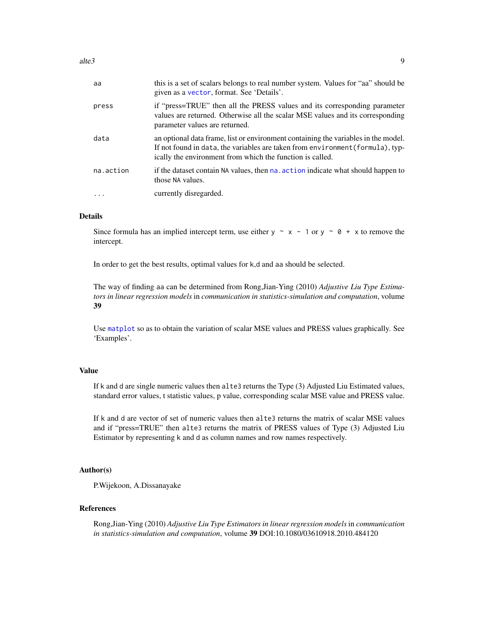<span id="page-8-0"></span>

| aa        | this is a set of scalars belongs to real number system. Values for "aa" should be<br>given as a vector, format. See 'Details'.                                                                                                    |
|-----------|-----------------------------------------------------------------------------------------------------------------------------------------------------------------------------------------------------------------------------------|
| press     | if "press=TRUE" then all the PRESS values and its corresponding parameter<br>values are returned. Otherwise all the scalar MSE values and its corresponding<br>parameter values are returned.                                     |
| data      | an optional data frame, list or environment containing the variables in the model.<br>If not found in data, the variables are taken from environment (formula), typ-<br>ically the environment from which the function is called. |
| na.action | if the dataset contain NA values, then na. action indicate what should happen to<br>those NA values.                                                                                                                              |
| $\cdots$  | currently disregarded.                                                                                                                                                                                                            |

#### Details

Since formula has an implied intercept term, use either y  $\sim x - 1$  or y  $\sim \theta + x$  to remove the intercept.

In order to get the best results, optimal values for k,d and aa should be selected.

The way of finding aa can be determined from Rong,Jian-Ying (2010) *Adjustive Liu Type Estimators in linear regression models* in *communication in statistics-simulation and computation*, volume 39

Use [matplot](#page-0-0) so as to obtain the variation of scalar MSE values and PRESS values graphically. See 'Examples'.

#### Value

If k and d are single numeric values then alte3 returns the Type (3) Adjusted Liu Estimated values, standard error values, t statistic values, p value, corresponding scalar MSE value and PRESS value.

If k and d are vector of set of numeric values then alte3 returns the matrix of scalar MSE values and if "press=TRUE" then alte3 returns the matrix of PRESS values of Type (3) Adjusted Liu Estimator by representing k and d as column names and row names respectively.

#### Author(s)

P.Wijekoon, A.Dissanayake

#### References

Rong,Jian-Ying (2010) *Adjustive Liu Type Estimators in linear regression models* in *communication in statistics-simulation and computation*, volume 39 DOI:10.1080/03610918.2010.484120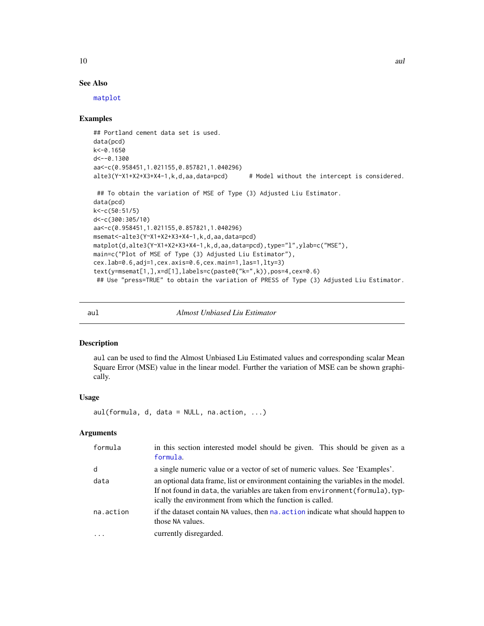#### See Also

[matplot](#page-0-0)

#### Examples

```
## Portland cement data set is used.
data(pcd)
k<-0.1650
d<--0.1300
aa<-c(0.958451,1.021155,0.857821,1.040296)
alte3(Y~X1+X2+X3+X4-1,k,d,aa,data=pcd) # Model without the intercept is considered.
 ## To obtain the variation of MSE of Type (3) Adjusted Liu Estimator.
data(pcd)
k<-c(50:51/5)
d<-c(300:305/10)
aa<-c(0.958451,1.021155,0.857821,1.040296)
msemat<-alte3(Y~X1+X2+X3+X4-1,k,d,aa,data=pcd)
matplot(d,alte3(Y~X1+X2+X3+X4-1,k,d,aa,data=pcd),type="l",ylab=c("MSE"),
main=c("Plot of MSE of Type (3) Adjusted Liu Estimator"),
cex.lab=0.6,adj=1,cex.axis=0.6,cex.main=1,las=1,lty=3)
text(y=msemat[1,],x=d[1],labels=c(paste0("k=",k)),pos=4,cex=0.6)
 ## Use "press=TRUE" to obtain the variation of PRESS of Type (3) Adjusted Liu Estimator.
```
aul *Almost Unbiased Liu Estimator*

#### Description

aul can be used to find the Almost Unbiased Liu Estimated values and corresponding scalar Mean Square Error (MSE) value in the linear model. Further the variation of MSE can be shown graphically.

#### Usage

aul(formula, d, data = NULL, na.action, ...)

#### Arguments

| formula   | in this section interested model should be given. This should be given as a<br>formula.                                                                                                                                           |
|-----------|-----------------------------------------------------------------------------------------------------------------------------------------------------------------------------------------------------------------------------------|
| d         | a single numeric value or a vector of set of numeric values. See 'Examples'.                                                                                                                                                      |
| data      | an optional data frame, list or environment containing the variables in the model.<br>If not found in data, the variables are taken from environment (formula), typ-<br>ically the environment from which the function is called. |
| na.action | if the dataset contain NA values, then na, action indicate what should happen to<br>those NA values.                                                                                                                              |
|           | currently disregarded.                                                                                                                                                                                                            |

<span id="page-9-0"></span>10 aul 2003 au 2004 au 2006 au 2006 au 2006 au 2007 au 2008 au 2008 au 2008 au 2008 au 2008 au 2008 au 2008 au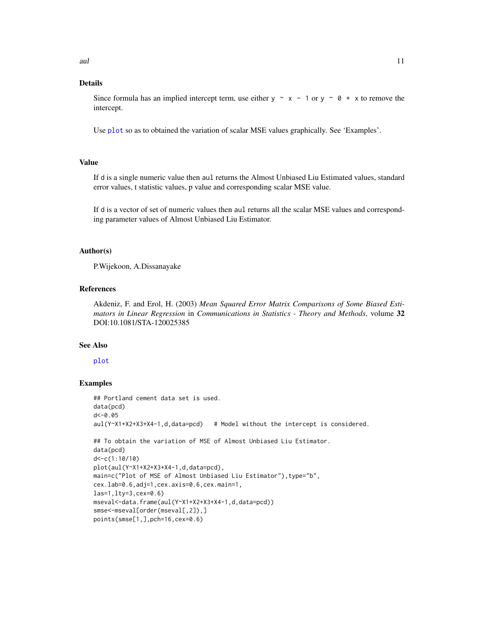#### <span id="page-10-0"></span>Details

Since formula has an implied intercept term, use either  $y \sim x - 1$  or  $y \sim \emptyset + x$  to remove the intercept.

Use [plot](#page-0-0) so as to obtained the variation of scalar MSE values graphically. See 'Examples'.

#### Value

If d is a single numeric value then aul returns the Almost Unbiased Liu Estimated values, standard error values, t statistic values, p value and corresponding scalar MSE value.

If d is a vector of set of numeric values then aul returns all the scalar MSE values and corresponding parameter values of Almost Unbiased Liu Estimator.

#### Author(s)

P.Wijekoon, A.Dissanayake

#### References

Akdeniz, F. and Erol, H. (2003) *Mean Squared Error Matrix Comparisons of Some Biased Estimators in Linear Regression* in *Communications in Statistics - Theory and Methods*, volume 32 DOI:10.1081/STA-120025385

#### See Also

#### [plot](#page-0-0)

```
## Portland cement data set is used.
data(pcd)
d < -0.05aul(Y~X1+X2+X3+X4-1,d,data=pcd) # Model without the intercept is considered.
## To obtain the variation of MSE of Almost Unbiased Liu Estimator.
data(pcd)
d<-c(1:10/10)
plot(aul(Y~X1+X2+X3+X4-1,d,data=pcd),
main=c("Plot of MSE of Almost Unbiased Liu Estimator"), type="b",
cex.lab=0.6,adj=1,cex.axis=0.6,cex.main=1,
las=1,lty=3,cex=0.6)
mseval<-data.frame(aul(Y~X1+X2+X3+X4-1,d,data=pcd))
smse<-mseval[order(mseval[,2]),]
points(smse[1,],pch=16,cex=0.6)
```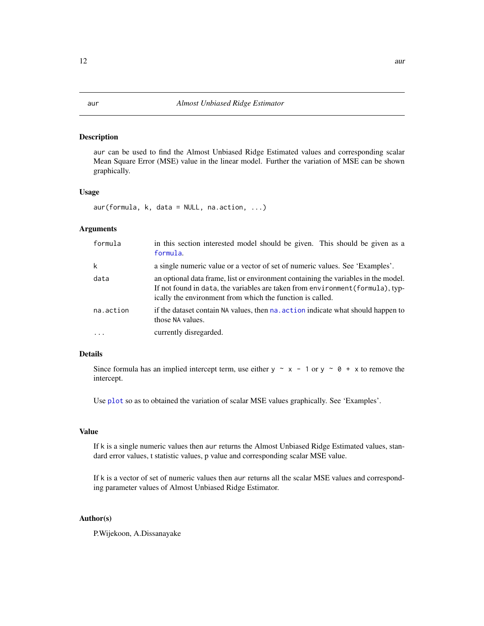#### <span id="page-11-0"></span>Description

aur can be used to find the Almost Unbiased Ridge Estimated values and corresponding scalar Mean Square Error (MSE) value in the linear model. Further the variation of MSE can be shown graphically.

#### Usage

 $aur(formula, k, data = NULL, na. action, ...)$ 

#### Arguments

| formula   | in this section interested model should be given. This should be given as a<br>formula.                                                                                                                                           |
|-----------|-----------------------------------------------------------------------------------------------------------------------------------------------------------------------------------------------------------------------------------|
| k         | a single numeric value or a vector of set of numeric values. See 'Examples'.                                                                                                                                                      |
| data      | an optional data frame, list or environment containing the variables in the model.<br>If not found in data, the variables are taken from environment (formula), typ-<br>ically the environment from which the function is called. |
| na.action | if the dataset contain NA values, then na. action indicate what should happen to<br>those NA values.                                                                                                                              |
| $\ddots$  | currently disregarded.                                                                                                                                                                                                            |

#### Details

Since formula has an implied intercept term, use either y  $\sim x - 1$  or y  $\sim \theta + x$  to remove the intercept.

Use [plot](#page-0-0) so as to obtained the variation of scalar MSE values graphically. See 'Examples'.

#### Value

If k is a single numeric values then aur returns the Almost Unbiased Ridge Estimated values, standard error values, t statistic values, p value and corresponding scalar MSE value.

If k is a vector of set of numeric values then aur returns all the scalar MSE values and corresponding parameter values of Almost Unbiased Ridge Estimator.

#### Author(s)

P.Wijekoon, A.Dissanayake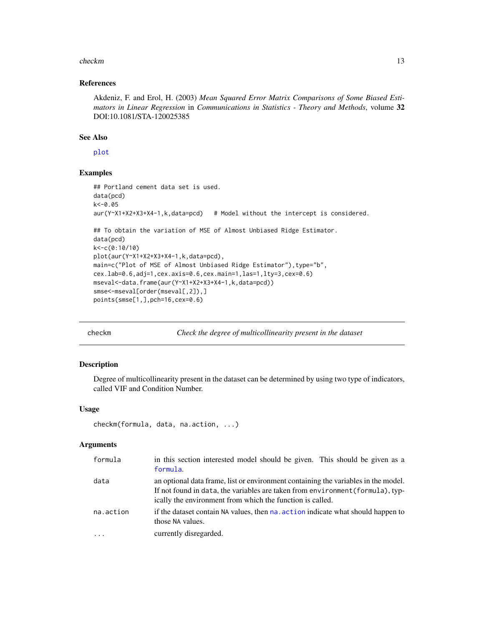#### <span id="page-12-0"></span>checkm and the check of the check of the check of the check of the check of the check of the check of the check of the check of the check of the check of the check of the check of the check of the check of the check of the

#### References

Akdeniz, F. and Erol, H. (2003) *Mean Squared Error Matrix Comparisons of Some Biased Estimators in Linear Regression* in *Communications in Statistics - Theory and Methods*, volume 32 DOI:10.1081/STA-120025385

#### See Also

[plot](#page-0-0)

#### Examples

```
## Portland cement data set is used.
data(pcd)
k<-0.05
aur(Y~X1+X2+X3+X4-1,k,data=pcd) # Model without the intercept is considered.
## To obtain the variation of MSE of Almost Unbiased Ridge Estimator.
data(pcd)
k<-c(0:10/10)
plot(aur(Y~X1+X2+X3+X4-1,k,data=pcd),
main=c("Plot of MSE of Almost Unbiased Ridge Estimator"), type="b",
cex.lab=0.6,adj=1,cex.axis=0.6,cex.main=1,las=1,lty=3,cex=0.6)
mseval<-data.frame(aur(Y~X1+X2+X3+X4-1,k,data=pcd))
smse<-mseval[order(mseval[,2]),]
points(smse[1,],pch=16,cex=0.6)
```
checkm *Check the degree of multicollinearity present in the dataset*

#### Description

Degree of multicollinearity present in the dataset can be determined by using two type of indicators, called VIF and Condition Number.

#### Usage

```
checkm(formula, data, na.action, ...)
```
#### Arguments

| formula   | in this section interested model should be given. This should be given as a<br>formula.                                                                                                                                           |
|-----------|-----------------------------------------------------------------------------------------------------------------------------------------------------------------------------------------------------------------------------------|
| data      | an optional data frame, list or environment containing the variables in the model.<br>If not found in data, the variables are taken from environment (formula), typ-<br>ically the environment from which the function is called. |
| na.action | if the dataset contain NA values, then na, action indicate what should happen to<br>those NA values.                                                                                                                              |
| $\cdots$  | currently disregarded.                                                                                                                                                                                                            |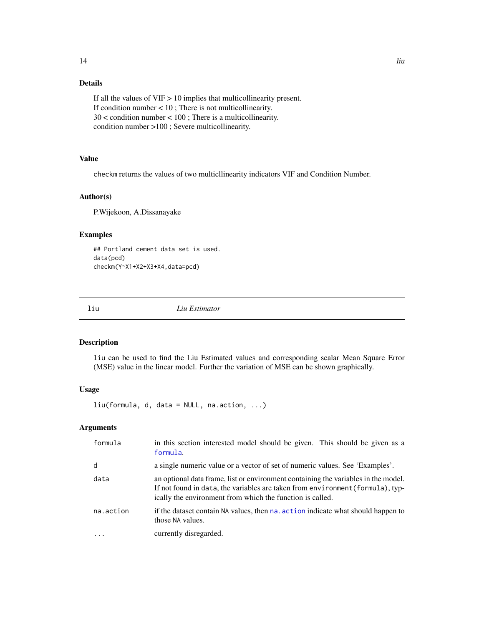### <span id="page-13-0"></span>Details

If all the values of  $VIF > 10$  implies that multicollinearity present. If condition number < 10 ; There is not multicollinearity. 30 < condition number < 100 ; There is a multicollinearity. condition number >100 ; Severe multicollinearity.

#### Value

checkm returns the values of two multicllinearity indicators VIF and Condition Number.

#### Author(s)

P.Wijekoon, A.Dissanayake

#### Examples

```
## Portland cement data set is used.
data(pcd)
checkm(Y~X1+X2+X3+X4,data=pcd)
```
liu *Liu Estimator*

#### Description

liu can be used to find the Liu Estimated values and corresponding scalar Mean Square Error (MSE) value in the linear model. Further the variation of MSE can be shown graphically.

#### Usage

liu(formula, d, data = NULL, na.action, ...)

#### Arguments

| formula                 | in this section interested model should be given. This should be given as a<br>formula.                                                                                                                                           |
|-------------------------|-----------------------------------------------------------------------------------------------------------------------------------------------------------------------------------------------------------------------------------|
| d                       | a single numeric value or a vector of set of numeric values. See 'Examples'.                                                                                                                                                      |
| data                    | an optional data frame, list or environment containing the variables in the model.<br>If not found in data, the variables are taken from environment (formula), typ-<br>ically the environment from which the function is called. |
| na.action               | if the dataset contain NA values, then na. action indicate what should happen to<br>those NA values.                                                                                                                              |
| $\cdot$ $\cdot$ $\cdot$ | currently disregarded.                                                                                                                                                                                                            |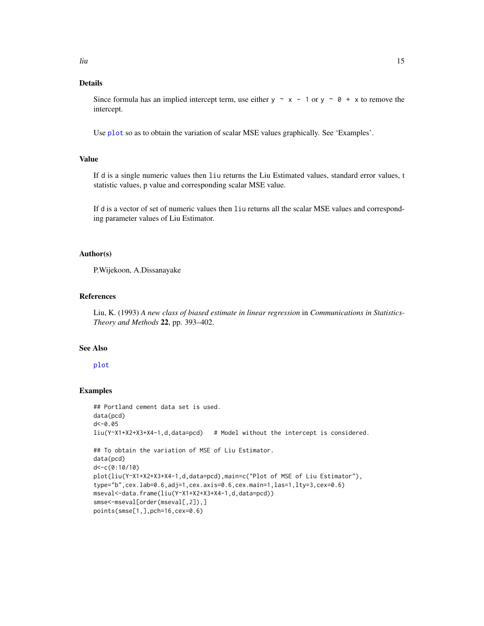#### <span id="page-14-0"></span>Details

Since formula has an implied intercept term, use either  $y \sim x - 1$  or  $y \sim \emptyset + x$  to remove the intercept.

Use [plot](#page-0-0) so as to obtain the variation of scalar MSE values graphically. See 'Examples'.

#### Value

If d is a single numeric values then liu returns the Liu Estimated values, standard error values, t statistic values, p value and corresponding scalar MSE value.

If d is a vector of set of numeric values then liu returns all the scalar MSE values and corresponding parameter values of Liu Estimator.

#### Author(s)

P.Wijekoon, A.Dissanayake

#### References

Liu, K. (1993) *A new class of biased estimate in linear regression* in *Communications in Statistics-Theory and Methods* 22, pp. 393–402.

#### See Also

#### [plot](#page-0-0)

```
## Portland cement data set is used.
data(pcd)
d < -0.05liu(Y~X1+X2+X3+X4-1,d,data=pcd) # Model without the intercept is considered.
## To obtain the variation of MSE of Liu Estimator.
data(pcd)
d<-c(0:10/10)
plot(liu(Y~X1+X2+X3+X4-1,d,data=pcd),main=c("Plot of MSE of Liu Estimator"),
type="b",cex.lab=0.6,adj=1,cex.axis=0.6,cex.main=1,las=1,lty=3,cex=0.6)
mseval<-data.frame(liu(Y~X1+X2+X3+X4-1,d,data=pcd))
smse<-mseval[order(mseval[,2]),]
points(smse[1,],pch=16,cex=0.6)
```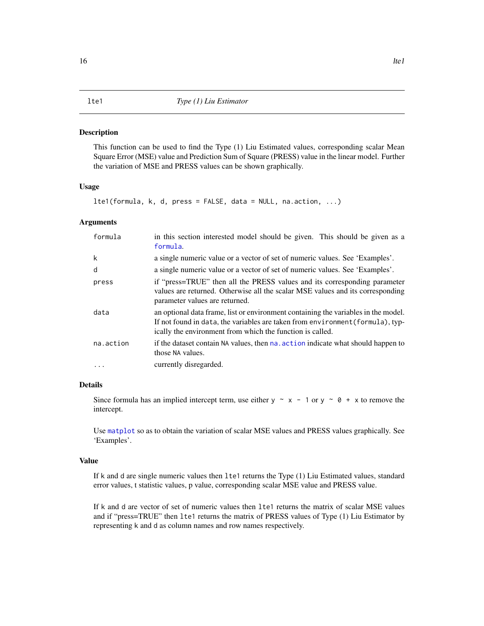#### <span id="page-15-0"></span>**Description**

This function can be used to find the Type (1) Liu Estimated values, corresponding scalar Mean Square Error (MSE) value and Prediction Sum of Square (PRESS) value in the linear model. Further the variation of MSE and PRESS values can be shown graphically.

#### Usage

```
lte1(formula, k, d, press = FALSE, data = NULL, na.action, ...)
```
#### Arguments

| formula   | in this section interested model should be given. This should be given as a<br>formula.                                                                                                                                           |
|-----------|-----------------------------------------------------------------------------------------------------------------------------------------------------------------------------------------------------------------------------------|
| k         | a single numeric value or a vector of set of numeric values. See 'Examples'.                                                                                                                                                      |
| d         | a single numeric value or a vector of set of numeric values. See 'Examples'.                                                                                                                                                      |
| press     | if "press=TRUE" then all the PRESS values and its corresponding parameter<br>values are returned. Otherwise all the scalar MSE values and its corresponding<br>parameter values are returned.                                     |
| data      | an optional data frame, list or environment containing the variables in the model.<br>If not found in data, the variables are taken from environment (formula), typ-<br>ically the environment from which the function is called. |
| na.action | if the dataset contain NA values, then na action indicate what should happen to<br>those NA values.                                                                                                                               |
|           | currently disregarded.                                                                                                                                                                                                            |

#### Details

Since formula has an implied intercept term, use either y  $\sim x - 1$  or y  $\sim \theta + x$  to remove the intercept.

Use [matplot](#page-0-0) so as to obtain the variation of scalar MSE values and PRESS values graphically. See 'Examples'.

#### Value

If k and d are single numeric values then lte1 returns the Type (1) Liu Estimated values, standard error values, t statistic values, p value, corresponding scalar MSE value and PRESS value.

If k and d are vector of set of numeric values then lte1 returns the matrix of scalar MSE values and if "press=TRUE" then lte1 returns the matrix of PRESS values of Type (1) Liu Estimator by representing k and d as column names and row names respectively.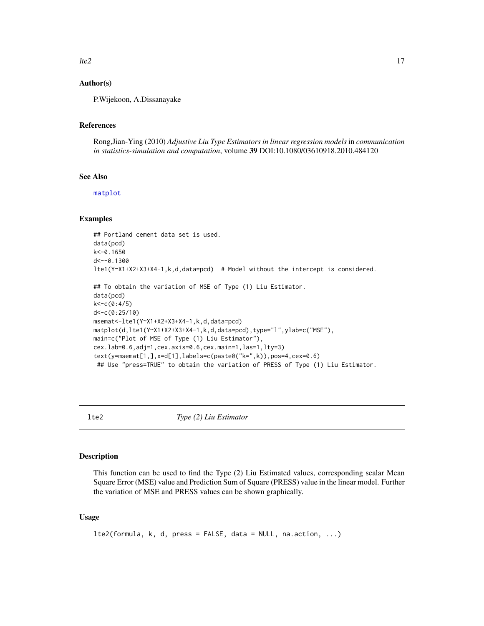<span id="page-16-0"></span> $lte2$  and  $l7$ 

#### Author(s)

P.Wijekoon, A.Dissanayake

#### References

Rong,Jian-Ying (2010) *Adjustive Liu Type Estimators in linear regression models* in *communication in statistics-simulation and computation*, volume 39 DOI:10.1080/03610918.2010.484120

#### See Also

[matplot](#page-0-0)

#### Examples

```
## Portland cement data set is used.
data(pcd)
k<-0.1650
d<--0.1300
lte1(Y~X1+X2+X3+X4-1,k,d,data=pcd) # Model without the intercept is considered.
## To obtain the variation of MSE of Type (1) Liu Estimator.
data(pcd)
k<-c(0:4/5)
d<-c(0:25/10)
msemat<-lte1(Y~X1+X2+X3+X4-1,k,d,data=pcd)
matplot(d,lte1(Y~X1+X2+X3+X4-1,k,d,data=pcd),type="l",ylab=c("MSE"),
main=c("Plot of MSE of Type (1) Liu Estimator"),
cex.lab=0.6,adj=1,cex.axis=0.6,cex.main=1,las=1,lty=3)
text(y=msemat[1,],x=d[1],labels=c(paste0("k=",k)),pos=4,cex=0.6)
## Use "press=TRUE" to obtain the variation of PRESS of Type (1) Liu Estimator.
```
lte2 *Type (2) Liu Estimator*

#### Description

This function can be used to find the Type (2) Liu Estimated values, corresponding scalar Mean Square Error (MSE) value and Prediction Sum of Square (PRESS) value in the linear model. Further the variation of MSE and PRESS values can be shown graphically.

#### Usage

```
lte2(formula, k, d, press = FALSE, data = NULL, na.action, ...)
```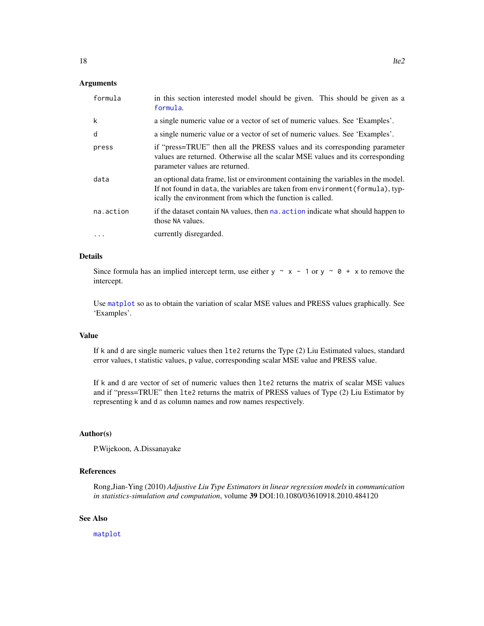#### <span id="page-17-0"></span>Arguments

| formula   | in this section interested model should be given. This should be given as a<br>formula.                                                                                                                                           |
|-----------|-----------------------------------------------------------------------------------------------------------------------------------------------------------------------------------------------------------------------------------|
| k         | a single numeric value or a vector of set of numeric values. See 'Examples'.                                                                                                                                                      |
| d         | a single numeric value or a vector of set of numeric values. See 'Examples'.                                                                                                                                                      |
| press     | if "press=TRUE" then all the PRESS values and its corresponding parameter<br>values are returned. Otherwise all the scalar MSE values and its corresponding<br>parameter values are returned.                                     |
| data      | an optional data frame, list or environment containing the variables in the model.<br>If not found in data, the variables are taken from environment (formula), typ-<br>ically the environment from which the function is called. |
| na.action | if the dataset contain NA values, then na, action indicate what should happen to<br>those NA values.                                                                                                                              |
| $\ddotsc$ | currently disregarded.                                                                                                                                                                                                            |

#### Details

Since formula has an implied intercept term, use either  $y \sim x - 1$  or  $y \sim \emptyset + x$  to remove the intercept.

Use [matplot](#page-0-0) so as to obtain the variation of scalar MSE values and PRESS values graphically. See 'Examples'.

#### Value

If k and d are single numeric values then lte2 returns the Type (2) Liu Estimated values, standard error values, t statistic values, p value, corresponding scalar MSE value and PRESS value.

If k and d are vector of set of numeric values then lte2 returns the matrix of scalar MSE values and if "press=TRUE" then lte2 returns the matrix of PRESS values of Type (2) Liu Estimator by representing k and d as column names and row names respectively.

#### Author(s)

P.Wijekoon, A.Dissanayake

#### References

Rong,Jian-Ying (2010) *Adjustive Liu Type Estimators in linear regression models* in *communication in statistics-simulation and computation*, volume 39 DOI:10.1080/03610918.2010.484120

#### See Also

[matplot](#page-0-0)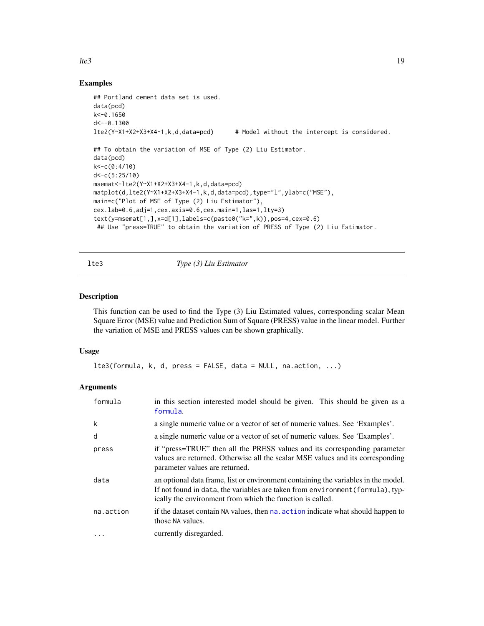### <span id="page-18-0"></span> $lte3$  19

#### Examples

```
## Portland cement data set is used.
data(pcd)
k<-0.1650
d <-- 0.1300
lte2(Y~X1+X2+X3+X4-1,k,d,data=pcd) # Model without the intercept is considered.
## To obtain the variation of MSE of Type (2) Liu Estimator.
data(pcd)
k<-c(0:4/10)
d<-c(5:25/10)
msemat<-lte2(Y~X1+X2+X3+X4-1,k,d,data=pcd)
matplot(d,lte2(Y~X1+X2+X3+X4-1,k,d,data=pcd),type="l",ylab=c("MSE"),
main=c("Plot of MSE of Type (2) Liu Estimator"),
cex.lab=0.6,adj=1,cex.axis=0.6,cex.main=1,las=1,lty=3)
text(y=msemat[1,],x=d[1],labels=c(paste0("k=",k)),pos=4,cex=0.6)
 ## Use "press=TRUE" to obtain the variation of PRESS of Type (2) Liu Estimator.
```
lte3 *Type (3) Liu Estimator*

#### Description

This function can be used to find the Type (3) Liu Estimated values, corresponding scalar Mean Square Error (MSE) value and Prediction Sum of Square (PRESS) value in the linear model. Further the variation of MSE and PRESS values can be shown graphically.

#### Usage

```
lte3(formula, k, d, press = FALSE, data = NULL, na.action, ...)
```
#### Arguments

| formula   | in this section interested model should be given. This should be given as a<br>formula.                                                                                                                                           |
|-----------|-----------------------------------------------------------------------------------------------------------------------------------------------------------------------------------------------------------------------------------|
| k         | a single numeric value or a vector of set of numeric values. See 'Examples'.                                                                                                                                                      |
| d         | a single numeric value or a vector of set of numeric values. See 'Examples'.                                                                                                                                                      |
| press     | if "press=TRUE" then all the PRESS values and its corresponding parameter<br>values are returned. Otherwise all the scalar MSE values and its corresponding<br>parameter values are returned.                                     |
| data      | an optional data frame, list or environment containing the variables in the model.<br>If not found in data, the variables are taken from environment (formula), typ-<br>ically the environment from which the function is called. |
| na.action | if the dataset contain NA values, then na, action indicate what should happen to<br>those NA values.                                                                                                                              |
| $\cdots$  | currently disregarded.                                                                                                                                                                                                            |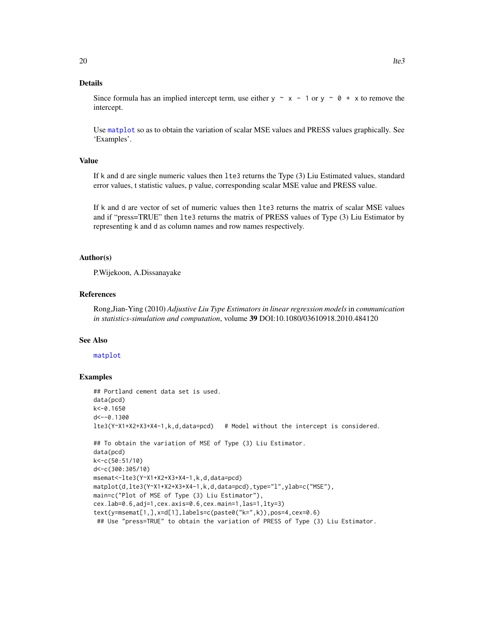#### <span id="page-19-0"></span>Details

Since formula has an implied intercept term, use either  $y \sim x - 1$  or  $y \sim 0 + x$  to remove the intercept.

Use [matplot](#page-0-0) so as to obtain the variation of scalar MSE values and PRESS values graphically. See 'Examples'.

#### Value

If k and d are single numeric values then lte3 returns the Type (3) Liu Estimated values, standard error values, t statistic values, p value, corresponding scalar MSE value and PRESS value.

If k and d are vector of set of numeric values then lte3 returns the matrix of scalar MSE values and if "press=TRUE" then lte3 returns the matrix of PRESS values of Type (3) Liu Estimator by representing k and d as column names and row names respectively.

#### Author(s)

P.Wijekoon, A.Dissanayake

#### References

Rong,Jian-Ying (2010) *Adjustive Liu Type Estimators in linear regression models* in *communication in statistics-simulation and computation*, volume 39 DOI:10.1080/03610918.2010.484120

#### See Also

#### [matplot](#page-0-0)

```
## Portland cement data set is used.
data(pcd)
k<-0.1650
d<--0.1300
lte3(Y~X1+X2+X3+X4-1,k,d,data=pcd) # Model without the intercept is considered.
## To obtain the variation of MSE of Type (3) Liu Estimator.
data(pcd)
k<-c(50:51/10)
d<-c(300:305/10)
msemat<-lte3(Y~X1+X2+X3+X4-1,k,d,data=pcd)
matplot(d,lte3(Y~X1+X2+X3+X4-1,k,d,data=pcd),type="l",ylab=c("MSE"),
main=c("Plot of MSE of Type (3) Liu Estimator"),
cex.lab=0.6,adj=1,cex.axis=0.6,cex.main=1,las=1,lty=3)
text(y=msemat[1,],x=d[1],labels=c(paste0("k=",k)),pos=4,cex=0.6)
 ## Use "press=TRUE" to obtain the variation of PRESS of Type (3) Liu Estimator.
```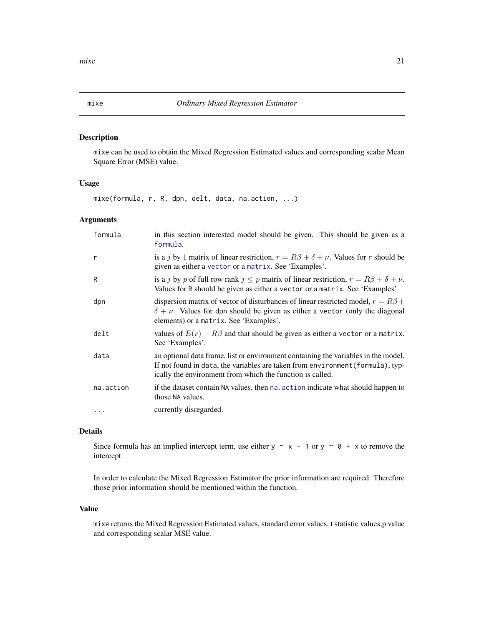#### Description

mixe can be used to obtain the Mixed Regression Estimated values and corresponding scalar Mean Square Error (MSE) value.

#### Usage

mixe(formula, r, R, dpn, delt, data, na.action, ...)

#### Arguments

| formula   | in this section interested model should be given. This should be given as a<br>formula.                                                                                                                                           |
|-----------|-----------------------------------------------------------------------------------------------------------------------------------------------------------------------------------------------------------------------------------|
| r         | is a j by 1 matrix of linear restriction, $r = R\beta + \delta + \nu$ . Values for r should be<br>given as either a vector or a matrix. See 'Examples'.                                                                           |
| R         | is a j by p of full row rank $j \leq p$ matrix of linear restriction, $r = R\beta + \delta + \nu$ .<br>Values for R should be given as either a vector or a matrix. See 'Examples'.                                               |
| dpn       | dispersion matrix of vector of disturbances of linear restricted model, $r = R\beta +$<br>$\delta + \nu$ . Values for dpn should be given as either a vector (only the diagonal<br>elements) or a matrix. See 'Examples'.         |
| delt      | values of $E(r) - R\beta$ and that should be given as either a vector or a matrix.<br>See 'Examples'.                                                                                                                             |
| data      | an optional data frame, list or environment containing the variables in the model.<br>If not found in data, the variables are taken from environment (formula), typ-<br>ically the environment from which the function is called. |
| na.action | if the dataset contain NA values, then na, action indicate what should happen to<br>those NA values.                                                                                                                              |
| $\cdots$  | currently disregarded.                                                                                                                                                                                                            |

#### Details

Since formula has an implied intercept term, use either y  $\sim x - 1$  or y  $\sim \theta + x$  to remove the intercept.

In order to calculate the Mixed Regression Estimator the prior information are required. Therefore those prior information should be mentioned within the function.

#### Value

mixe returns the Mixed Regression Estimated values, standard error values, t statistic values,p value and corresponding scalar MSE value.

<span id="page-20-0"></span>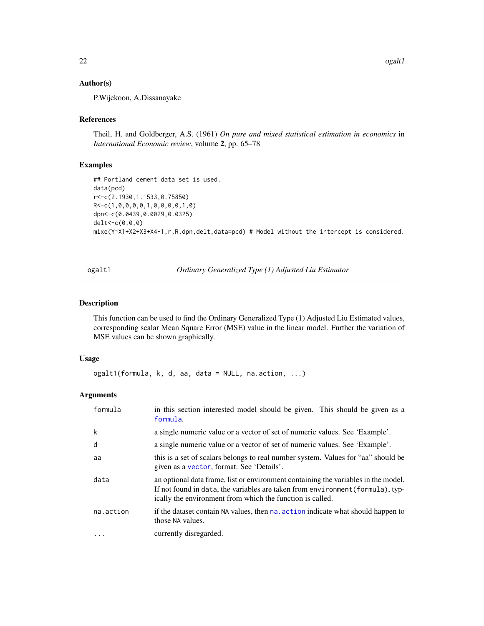#### <span id="page-21-0"></span>Author(s)

P.Wijekoon, A.Dissanayake

#### References

Theil, H. and Goldberger, A.S. (1961) *On pure and mixed statistical estimation in economics* in *International Economic review*, volume 2, pp. 65–78

#### Examples

```
## Portland cement data set is used.
data(pcd)
r<-c(2.1930,1.1533,0.75850)
R<-c(1,0,0,0,0,1,0,0,0,0,1,0)
dpn<-c(0.0439,0.0029,0.0325)
delt<-c(0,0,0)
mixe(Y~X1+X2+X3+X4-1,r,R,dpn,delt,data=pcd) # Model without the intercept is considered.
```
ogalt1 *Ordinary Generalized Type (1) Adjusted Liu Estimator*

#### Description

This function can be used to find the Ordinary Generalized Type (1) Adjusted Liu Estimated values, corresponding scalar Mean Square Error (MSE) value in the linear model. Further the variation of MSE values can be shown graphically.

#### Usage

ogalt1(formula, k, d, aa, data = NULL, na.action, ...)

#### Arguments

| formula   | in this section interested model should be given. This should be given as a<br>formula.                                                                                                                                           |
|-----------|-----------------------------------------------------------------------------------------------------------------------------------------------------------------------------------------------------------------------------------|
| k         | a single numeric value or a vector of set of numeric values. See 'Example'.                                                                                                                                                       |
| d         | a single numeric value or a vector of set of numeric values. See 'Example'.                                                                                                                                                       |
| aa        | this is a set of scalars belongs to real number system. Values for "aa" should be<br>given as a vector, format. See 'Details'.                                                                                                    |
| data      | an optional data frame, list or environment containing the variables in the model.<br>If not found in data, the variables are taken from environment (formula), typ-<br>ically the environment from which the function is called. |
| na.action | if the dataset contain NA values, then na, action indicate what should happen to<br>those NA values.                                                                                                                              |
| $\cdots$  | currently disregarded.                                                                                                                                                                                                            |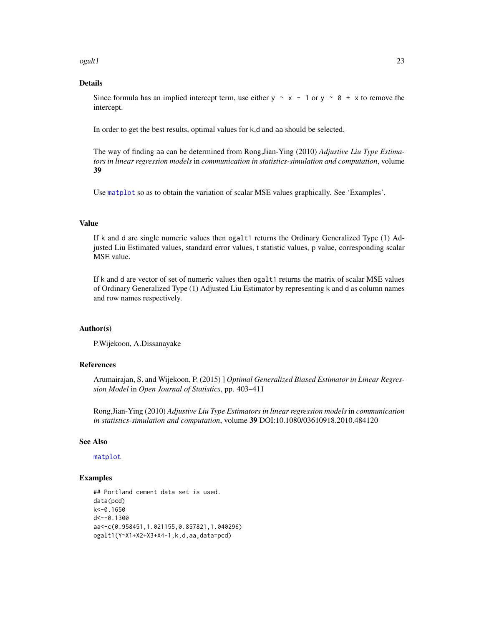<span id="page-22-0"></span>ogalt 1 and 23

#### Details

Since formula has an implied intercept term, use either  $y \sim x - 1$  or  $y \sim 0 + x$  to remove the intercept.

In order to get the best results, optimal values for k,d and aa should be selected.

The way of finding aa can be determined from Rong,Jian-Ying (2010) *Adjustive Liu Type Estimators in linear regression models* in *communication in statistics-simulation and computation*, volume 39

Use [matplot](#page-0-0) so as to obtain the variation of scalar MSE values graphically. See 'Examples'.

#### Value

If k and d are single numeric values then ogalt1 returns the Ordinary Generalized Type (1) Adjusted Liu Estimated values, standard error values, t statistic values, p value, corresponding scalar MSE value.

If k and d are vector of set of numeric values then ogalt1 returns the matrix of scalar MSE values of Ordinary Generalized Type (1) Adjusted Liu Estimator by representing k and d as column names and row names respectively.

#### Author(s)

P.Wijekoon, A.Dissanayake

#### References

Arumairajan, S. and Wijekoon, P. (2015) ] *Optimal Generalized Biased Estimator in Linear Regression Model* in *Open Journal of Statistics*, pp. 403–411

Rong,Jian-Ying (2010) *Adjustive Liu Type Estimators in linear regression models* in *communication in statistics-simulation and computation*, volume 39 DOI:10.1080/03610918.2010.484120

#### See Also

[matplot](#page-0-0)

```
## Portland cement data set is used.
data(pcd)
k<-0.1650
d < -0.1300aa<-c(0.958451,1.021155,0.857821,1.040296)
ogalt1(Y~X1+X2+X3+X4-1,k,d,aa,data=pcd)
```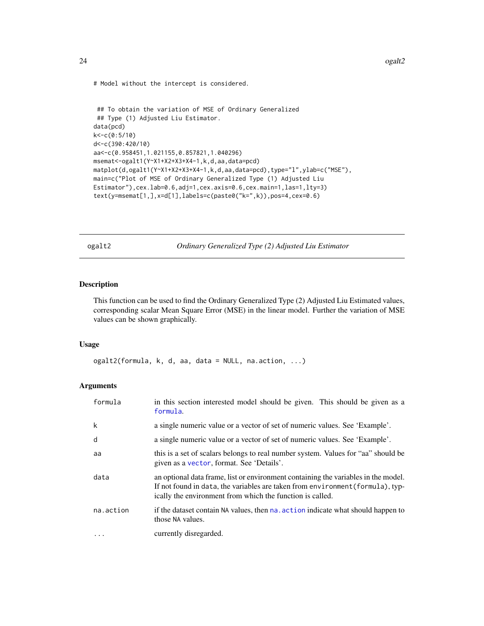```
# Model without the intercept is considered.
```

```
## To obtain the variation of MSE of Ordinary Generalized
## Type (1) Adjusted Liu Estimator.
data(pcd)
k<-c(0:5/10)
d<-c(390:420/10)
aa<-c(0.958451,1.021155,0.857821,1.040296)
msemat<-ogalt1(Y~X1+X2+X3+X4-1,k,d,aa,data=pcd)
matplot(d,ogalt1(Y~X1+X2+X3+X4-1,k,d,aa,data=pcd),type="l",ylab=c("MSE"),
main=c("Plot of MSE of Ordinary Generalized Type (1) Adjusted Liu
Estimator"),cex.lab=0.6,adj=1,cex.axis=0.6,cex.main=1,las=1,lty=3)
text(y=msemat[1,],x=d[1],labels=c(paste0("k=",k)),pos=4,cex=0.6)
```
ogalt2 *Ordinary Generalized Type (2) Adjusted Liu Estimator*

#### Description

This function can be used to find the Ordinary Generalized Type (2) Adjusted Liu Estimated values, corresponding scalar Mean Square Error (MSE) in the linear model. Further the variation of MSE values can be shown graphically.

#### Usage

ogalt2(formula, k, d, aa, data = NULL, na.action, ...)

#### Arguments

| formula   | in this section interested model should be given. This should be given as a<br>formula.                                                                                                                                           |
|-----------|-----------------------------------------------------------------------------------------------------------------------------------------------------------------------------------------------------------------------------------|
| k         | a single numeric value or a vector of set of numeric values. See 'Example'.                                                                                                                                                       |
| d         | a single numeric value or a vector of set of numeric values. See 'Example'.                                                                                                                                                       |
| aa        | this is a set of scalars belongs to real number system. Values for "aa" should be<br>given as a vector, format. See 'Details'.                                                                                                    |
| data      | an optional data frame, list or environment containing the variables in the model.<br>If not found in data, the variables are taken from environment (formula), typ-<br>ically the environment from which the function is called. |
| na.action | if the dataset contain NA values, then na. action indicate what should happen to<br>those NA values.                                                                                                                              |
| $\cdots$  | currently disregarded.                                                                                                                                                                                                            |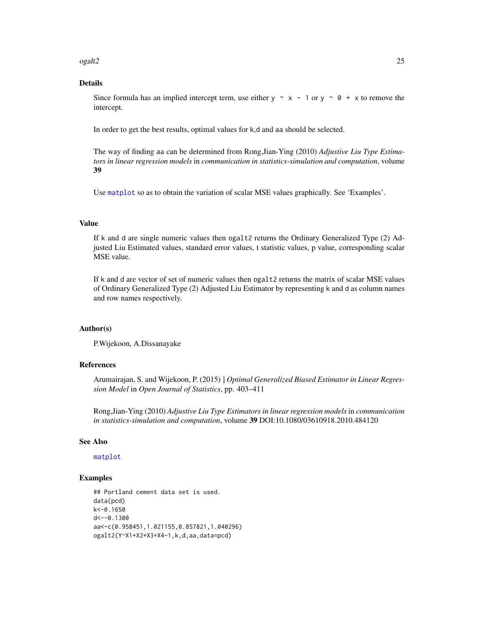#### <span id="page-24-0"></span>ogalt2 25

#### Details

Since formula has an implied intercept term, use either  $y \sim x - 1$  or  $y \sim 0 + x$  to remove the intercept.

In order to get the best results, optimal values for k,d and aa should be selected.

The way of finding aa can be determined from Rong,Jian-Ying (2010) *Adjustive Liu Type Estimators in linear regression models* in *communication in statistics-simulation and computation*, volume 39

Use [matplot](#page-0-0) so as to obtain the variation of scalar MSE values graphically. See 'Examples'.

#### Value

If k and d are single numeric values then ogalt2 returns the Ordinary Generalized Type (2) Adjusted Liu Estimated values, standard error values, t statistic values, p value, corresponding scalar MSE value.

If k and d are vector of set of numeric values then ogalt2 returns the matrix of scalar MSE values of Ordinary Generalized Type (2) Adjusted Liu Estimator by representing k and d as column names and row names respectively.

#### Author(s)

P.Wijekoon, A.Dissanayake

#### References

Arumairajan, S. and Wijekoon, P. (2015) ] *Optimal Generalized Biased Estimator in Linear Regression Model* in *Open Journal of Statistics*, pp. 403–411

Rong,Jian-Ying (2010) *Adjustive Liu Type Estimators in linear regression models* in *communication in statistics-simulation and computation*, volume 39 DOI:10.1080/03610918.2010.484120

#### See Also

#### [matplot](#page-0-0)

```
## Portland cement data set is used.
data(pcd)
k<-0.1650
d < -0.1300aa<-c(0.958451,1.021155,0.857821,1.040296)
ogalt2(Y~X1+X2+X3+X4-1,k,d,aa,data=pcd)
```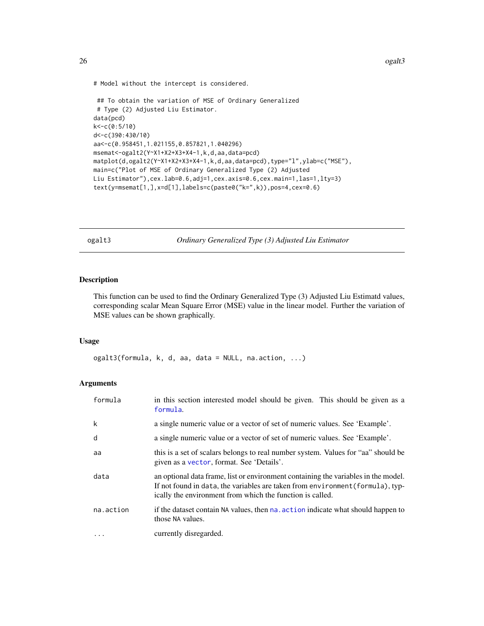<span id="page-25-0"></span>26 ogalt3

```
# Model without the intercept is considered.
```

```
## To obtain the variation of MSE of Ordinary Generalized
# Type (2) Adjusted Liu Estimator.
data(pcd)
k<-c(0:5/10)
d<-c(390:430/10)
aa<-c(0.958451,1.021155,0.857821,1.040296)
msemat<-ogalt2(Y~X1+X2+X3+X4-1,k,d,aa,data=pcd)
matplot(d,ogalt2(Y~X1+X2+X3+X4-1,k,d,aa,data=pcd),type="l",ylab=c("MSE"),
main=c("Plot of MSE of Ordinary Generalized Type (2) Adjusted
Liu Estimator"),cex.lab=0.6,adj=1,cex.axis=0.6,cex.main=1,las=1,lty=3)
text(y=msemat[1,],x=d[1],labels=c(paste0("k=",k)),pos=4,cex=0.6)
```
ogalt3 *Ordinary Generalized Type (3) Adjusted Liu Estimator*

#### Description

This function can be used to find the Ordinary Generalized Type (3) Adjusted Liu Estimatd values, corresponding scalar Mean Square Error (MSE) value in the linear model. Further the variation of MSE values can be shown graphically.

#### Usage

ogalt3(formula, k, d, aa, data = NULL, na.action, ...)

#### Arguments

| formula   | in this section interested model should be given. This should be given as a<br>formula.                                                                                                                                           |
|-----------|-----------------------------------------------------------------------------------------------------------------------------------------------------------------------------------------------------------------------------------|
| k         | a single numeric value or a vector of set of numeric values. See 'Example'.                                                                                                                                                       |
| d         | a single numeric value or a vector of set of numeric values. See 'Example'.                                                                                                                                                       |
| aa        | this is a set of scalars belongs to real number system. Values for "aa" should be<br>given as a vector, format. See 'Details'.                                                                                                    |
| data      | an optional data frame, list or environment containing the variables in the model.<br>If not found in data, the variables are taken from environment (formula), typ-<br>ically the environment from which the function is called. |
| na.action | if the dataset contain NA values, then na action indicate what should happen to<br>those NA values.                                                                                                                               |
| $\cdot$   | currently disregarded.                                                                                                                                                                                                            |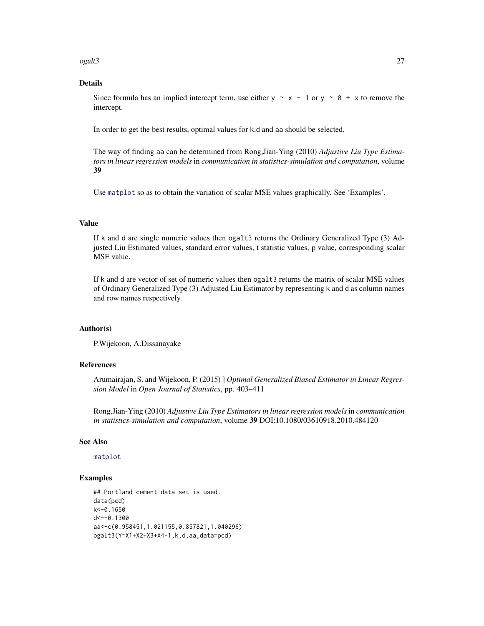<span id="page-26-0"></span>ogalt3 27

#### Details

Since formula has an implied intercept term, use either  $y \sim x - 1$  or  $y \sim 0 + x$  to remove the intercept.

In order to get the best results, optimal values for k,d and aa should be selected.

The way of finding aa can be determined from Rong,Jian-Ying (2010) *Adjustive Liu Type Estimators in linear regression models* in *communication in statistics-simulation and computation*, volume 39

Use [matplot](#page-0-0) so as to obtain the variation of scalar MSE values graphically. See 'Examples'.

#### Value

If k and d are single numeric values then ogalt3 returns the Ordinary Generalized Type (3) Adjusted Liu Estimated values, standard error values, t statistic values, p value, corresponding scalar MSE value.

If k and d are vector of set of numeric values then ogalt3 returns the matrix of scalar MSE values of Ordinary Generalized Type (3) Adjusted Liu Estimator by representing k and d as column names and row names respectively.

#### Author(s)

P.Wijekoon, A.Dissanayake

#### References

Arumairajan, S. and Wijekoon, P. (2015) ] *Optimal Generalized Biased Estimator in Linear Regression Model* in *Open Journal of Statistics*, pp. 403–411

Rong,Jian-Ying (2010) *Adjustive Liu Type Estimators in linear regression models* in *communication in statistics-simulation and computation*, volume 39 DOI:10.1080/03610918.2010.484120

#### See Also

[matplot](#page-0-0)

```
## Portland cement data set is used.
data(pcd)
k<-0.1650
d < -0.1300aa<-c(0.958451,1.021155,0.857821,1.040296)
ogalt3(Y~X1+X2+X3+X4-1,k,d,aa,data=pcd)
```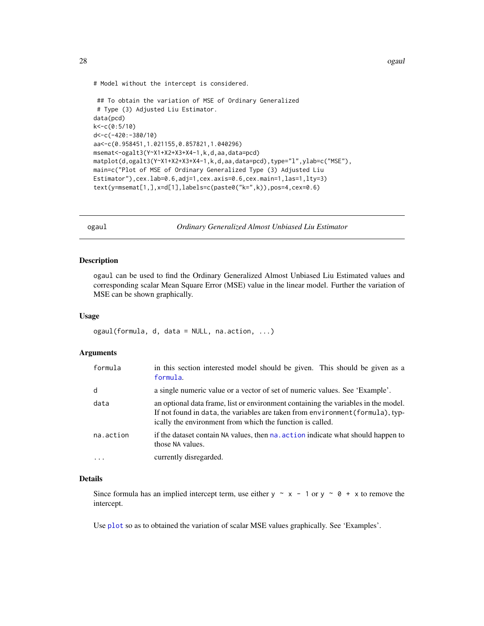<span id="page-27-0"></span>28 ogaul

```
# Model without the intercept is considered.
```

```
## To obtain the variation of MSE of Ordinary Generalized
# Type (3) Adjusted Liu Estimator.
data(pcd)
k<-c(0:5/10)
d<-c(-420:-380/10)
aa<-c(0.958451,1.021155,0.857821,1.040296)
msemat<-ogalt3(Y~X1+X2+X3+X4-1,k,d,aa,data=pcd)
matplot(d,ogalt3(Y~X1+X2+X3+X4-1,k,d,aa,data=pcd),type="l",ylab=c("MSE"),
main=c("Plot of MSE of Ordinary Generalized Type (3) Adjusted Liu
Estimator"),cex.lab=0.6,adj=1,cex.axis=0.6,cex.main=1,las=1,lty=3)
text(y=msemat[1,],x=d[1],labels=c(paste0("k=",k)),pos=4,cex=0.6)
```
ogaul *Ordinary Generalized Almost Unbiased Liu Estimator*

#### Description

ogaul can be used to find the Ordinary Generalized Almost Unbiased Liu Estimated values and corresponding scalar Mean Square Error (MSE) value in the linear model. Further the variation of MSE can be shown graphically.

#### Usage

ogaul(formula, d, data = NULL, na.action, ...)

### Arguments

| formula   | in this section interested model should be given. This should be given as a<br>formula.                                                                                                                                           |
|-----------|-----------------------------------------------------------------------------------------------------------------------------------------------------------------------------------------------------------------------------------|
| d         | a single numeric value or a vector of set of numeric values. See 'Example'.                                                                                                                                                       |
| data      | an optional data frame, list or environment containing the variables in the model.<br>If not found in data, the variables are taken from environment (formula), typ-<br>ically the environment from which the function is called. |
| na.action | if the dataset contain NA values, then na, action indicate what should happen to<br>those NA values.                                                                                                                              |
| $\cdots$  | currently disregarded.                                                                                                                                                                                                            |

#### Details

Since formula has an implied intercept term, use either  $y \sim x - 1$  or  $y \sim 0 + x$  to remove the intercept.

Use [plot](#page-0-0) so as to obtained the variation of scalar MSE values graphically. See 'Examples'.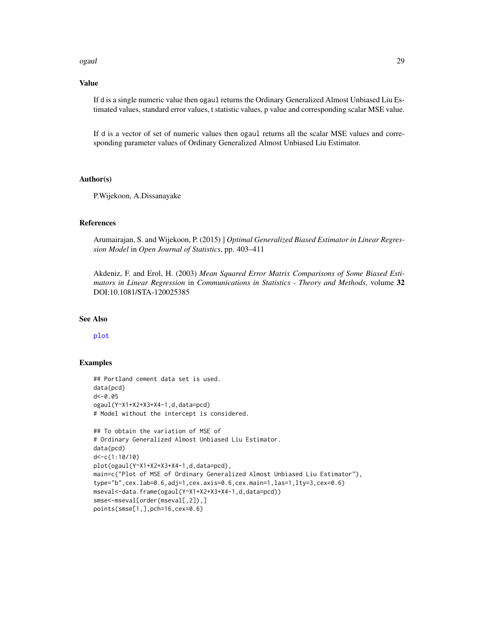#### ogaul 29

#### Value

If d is a single numeric value then ogaul returns the Ordinary Generalized Almost Unbiased Liu Estimated values, standard error values, t statistic values, p value and corresponding scalar MSE value.

If d is a vector of set of numeric values then ogaul returns all the scalar MSE values and corresponding parameter values of Ordinary Generalized Almost Unbiased Liu Estimator.

#### Author(s)

P.Wijekoon, A.Dissanayake

#### References

Arumairajan, S. and Wijekoon, P. (2015) ] *Optimal Generalized Biased Estimator in Linear Regression Model* in *Open Journal of Statistics*, pp. 403–411

Akdeniz, F. and Erol, H. (2003) *Mean Squared Error Matrix Comparisons of Some Biased Estimators in Linear Regression* in *Communications in Statistics - Theory and Methods*, volume 32 DOI:10.1081/STA-120025385

#### See Also

[plot](#page-0-0)

```
## Portland cement data set is used.
data(pcd)
d<-0.05
ogaul(Y~X1+X2+X3+X4-1,d,data=pcd)
# Model without the intercept is considered.
## To obtain the variation of MSE of
# Ordinary Generalized Almost Unbiased Liu Estimator.
data(pcd)
d<-c(1:10/10)
plot(ogaul(Y~X1+X2+X3+X4-1,d,data=pcd),
main=c("Plot of MSE of Ordinary Generalized Almost Unbiased Liu Estimator"),
type="b",cex.lab=0.6,adj=1,cex.axis=0.6,cex.main=1,las=1,lty=3,cex=0.6)
mseval<-data.frame(ogaul(Y~X1+X2+X3+X4-1,d,data=pcd))
smse<-mseval[order(mseval[,2]),]
points(smse[1,],pch=16,cex=0.6)
```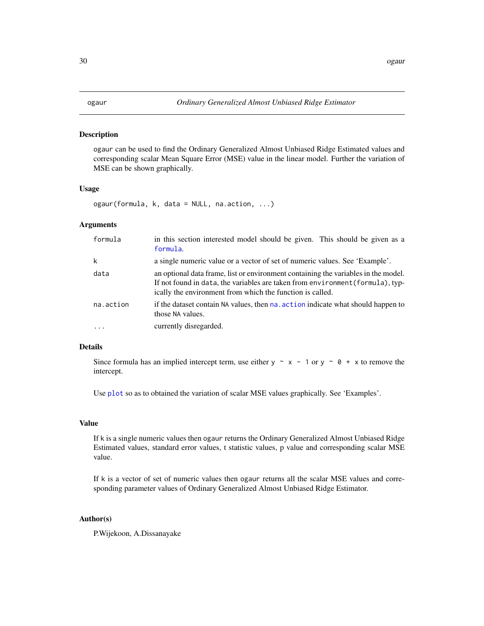#### <span id="page-29-0"></span>Description

ogaur can be used to find the Ordinary Generalized Almost Unbiased Ridge Estimated values and corresponding scalar Mean Square Error (MSE) value in the linear model. Further the variation of MSE can be shown graphically.

#### Usage

ogaur(formula, k, data = NULL, na.action, ...)

#### Arguments

| formula   | in this section interested model should be given. This should be given as a<br>formula.                                                                                                                                           |
|-----------|-----------------------------------------------------------------------------------------------------------------------------------------------------------------------------------------------------------------------------------|
| k         | a single numeric value or a vector of set of numeric values. See 'Example'.                                                                                                                                                       |
| data      | an optional data frame, list or environment containing the variables in the model.<br>If not found in data, the variables are taken from environment (formula), typ-<br>ically the environment from which the function is called. |
| na.action | if the dataset contain NA values, then na. action indicate what should happen to<br>those NA values.                                                                                                                              |
| $\cdot$   | currently disregarded.                                                                                                                                                                                                            |

#### Details

Since formula has an implied intercept term, use either y  $\sim x - 1$  or y  $\sim \theta + x$  to remove the intercept.

Use [plot](#page-0-0) so as to obtained the variation of scalar MSE values graphically. See 'Examples'.

#### Value

If k is a single numeric values then ogaur returns the Ordinary Generalized Almost Unbiased Ridge Estimated values, standard error values, t statistic values, p value and corresponding scalar MSE value.

If k is a vector of set of numeric values then ogaur returns all the scalar MSE values and corresponding parameter values of Ordinary Generalized Almost Unbiased Ridge Estimator.

#### Author(s)

P.Wijekoon, A.Dissanayake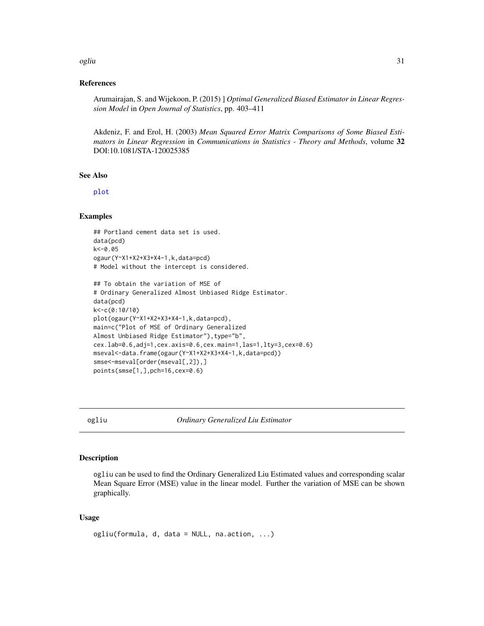#### <span id="page-30-0"></span>ogliu 31

#### References

Arumairajan, S. and Wijekoon, P. (2015) ] *Optimal Generalized Biased Estimator in Linear Regression Model* in *Open Journal of Statistics*, pp. 403–411

Akdeniz, F. and Erol, H. (2003) *Mean Squared Error Matrix Comparisons of Some Biased Estimators in Linear Regression* in *Communications in Statistics - Theory and Methods*, volume 32 DOI:10.1081/STA-120025385

#### See Also

[plot](#page-0-0)

#### Examples

```
## Portland cement data set is used.
data(pcd)
k<-0.05
ogaur(Y~X1+X2+X3+X4-1,k,data=pcd)
# Model without the intercept is considered.
```

```
## To obtain the variation of MSE of
# Ordinary Generalized Almost Unbiased Ridge Estimator.
data(pcd)
k<-c(0:10/10)
plot(ogaur(Y~X1+X2+X3+X4-1,k,data=pcd),
main=c("Plot of MSE of Ordinary Generalized
Almost Unbiased Ridge Estimator"), type="b",
cex.lab=0.6,adj=1,cex.axis=0.6,cex.main=1,las=1,lty=3,cex=0.6)
mseval<-data.frame(ogaur(Y~X1+X2+X3+X4-1,k,data=pcd))
smse<-mseval[order(mseval[,2]),]
points(smse[1,],pch=16,cex=0.6)
```
ogliu *Ordinary Generalized Liu Estimator*

#### **Description**

ogliu can be used to find the Ordinary Generalized Liu Estimated values and corresponding scalar Mean Square Error (MSE) value in the linear model. Further the variation of MSE can be shown graphically.

#### Usage

```
ogliu(formula, d, data = NULL, na.action, ...)
```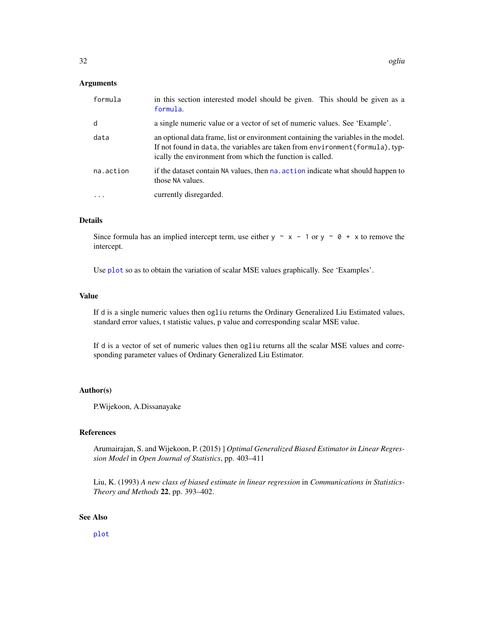#### <span id="page-31-0"></span>Arguments

| formula   | in this section interested model should be given. This should be given as a<br>formula.                                                                                                                                           |
|-----------|-----------------------------------------------------------------------------------------------------------------------------------------------------------------------------------------------------------------------------------|
| d         | a single numeric value or a vector of set of numeric values. See 'Example'.                                                                                                                                                       |
| data      | an optional data frame, list or environment containing the variables in the model.<br>If not found in data, the variables are taken from environment (formula), typ-<br>ically the environment from which the function is called. |
| na.action | if the dataset contain NA values, then na. action indicate what should happen to<br>those NA values.                                                                                                                              |
| .         | currently disregarded.                                                                                                                                                                                                            |

#### Details

Since formula has an implied intercept term, use either y  $\sim x - 1$  or y  $\sim \emptyset + x$  to remove the intercept.

Use [plot](#page-0-0) so as to obtain the variation of scalar MSE values graphically. See 'Examples'.

#### Value

If d is a single numeric values then ogliu returns the Ordinary Generalized Liu Estimated values, standard error values, t statistic values, p value and corresponding scalar MSE value.

If d is a vector of set of numeric values then ogliu returns all the scalar MSE values and corresponding parameter values of Ordinary Generalized Liu Estimator.

#### Author(s)

P.Wijekoon, A.Dissanayake

#### References

Arumairajan, S. and Wijekoon, P. (2015) ] *Optimal Generalized Biased Estimator in Linear Regression Model* in *Open Journal of Statistics*, pp. 403–411

Liu, K. (1993) *A new class of biased estimate in linear regression* in *Communications in Statistics-Theory and Methods* 22, pp. 393–402.

#### See Also

[plot](#page-0-0)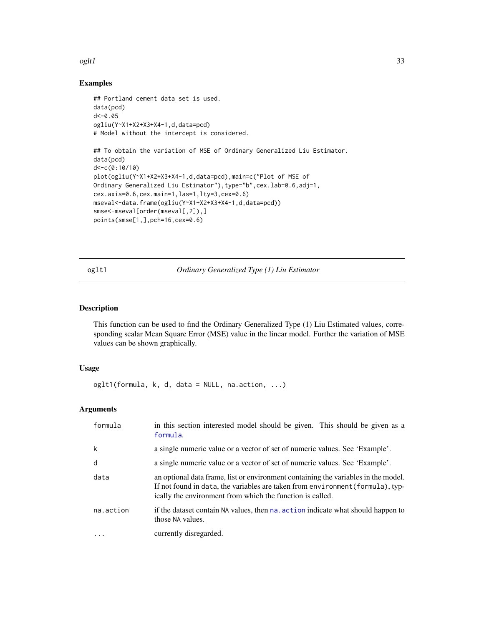#### <span id="page-32-0"></span>oglt1 33

#### Examples

```
## Portland cement data set is used.
data(pcd)
d<-0.05
ogliu(Y~X1+X2+X3+X4-1,d,data=pcd)
# Model without the intercept is considered.
## To obtain the variation of MSE of Ordinary Generalized Liu Estimator.
data(pcd)
d<-c(0:10/10)
plot(ogliu(Y~X1+X2+X3+X4-1,d,data=pcd),main=c("Plot of MSE of
Ordinary Generalized Liu Estimator"),type="b",cex.lab=0.6,adj=1,
cex.axis=0.6,cex.main=1,las=1,lty=3,cex=0.6)
mseval<-data.frame(ogliu(Y~X1+X2+X3+X4-1,d,data=pcd))
smse<-mseval[order(mseval[,2]),]
points(smse[1,],pch=16,cex=0.6)
```
oglt1 *Ordinary Generalized Type (1) Liu Estimator*

#### Description

This function can be used to find the Ordinary Generalized Type (1) Liu Estimated values, corresponding scalar Mean Square Error (MSE) value in the linear model. Further the variation of MSE values can be shown graphically.

#### Usage

oglt1(formula, k, d, data = NULL, na.action, ...)

#### Arguments

| formula   | in this section interested model should be given. This should be given as a<br>formula.                                                                                                                                           |
|-----------|-----------------------------------------------------------------------------------------------------------------------------------------------------------------------------------------------------------------------------------|
| k         | a single numeric value or a vector of set of numeric values. See 'Example'.                                                                                                                                                       |
| d         | a single numeric value or a vector of set of numeric values. See 'Example'.                                                                                                                                                       |
| data      | an optional data frame, list or environment containing the variables in the model.<br>If not found in data, the variables are taken from environment (formula), typ-<br>ically the environment from which the function is called. |
| na.action | if the dataset contain NA values, then na action indicate what should happen to<br>those NA values.                                                                                                                               |
| .         | currently disregarded.                                                                                                                                                                                                            |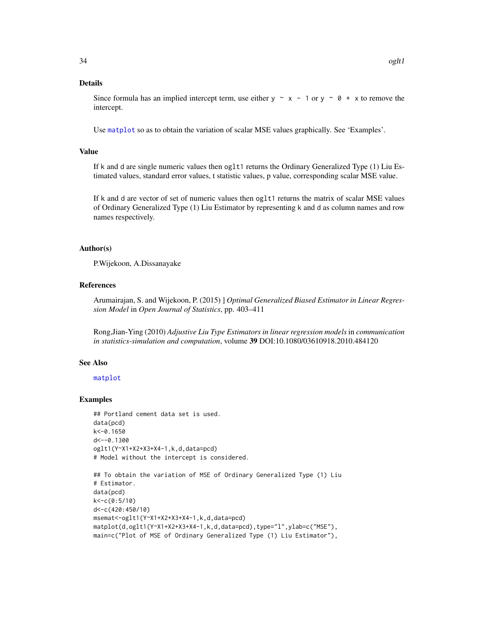#### <span id="page-33-0"></span>Details

Since formula has an implied intercept term, use either  $y \sim x - 1$  or  $y \sim \emptyset + x$  to remove the intercept.

Use [matplot](#page-0-0) so as to obtain the variation of scalar MSE values graphically. See 'Examples'.

#### Value

If k and d are single numeric values then oglt1 returns the Ordinary Generalized Type (1) Liu Estimated values, standard error values, t statistic values, p value, corresponding scalar MSE value.

If k and d are vector of set of numeric values then oglt1 returns the matrix of scalar MSE values of Ordinary Generalized Type (1) Liu Estimator by representing k and d as column names and row names respectively.

#### Author(s)

P.Wijekoon, A.Dissanayake

#### References

Arumairajan, S. and Wijekoon, P. (2015) ] *Optimal Generalized Biased Estimator in Linear Regression Model* in *Open Journal of Statistics*, pp. 403–411

Rong,Jian-Ying (2010) *Adjustive Liu Type Estimators in linear regression models* in *communication in statistics-simulation and computation*, volume 39 DOI:10.1080/03610918.2010.484120

#### See Also

[matplot](#page-0-0)

```
## Portland cement data set is used.
data(pcd)
k<-0.1650
d<--0.1300
oglt1(Y~X1+X2+X3+X4-1,k,d,data=pcd)
# Model without the intercept is considered.
```

```
## To obtain the variation of MSE of Ordinary Generalized Type (1) Liu
# Estimator.
data(pcd)
k<-c(0:5/10)
d<-c(420:450/10)
msemat<-oglt1(Y~X1+X2+X3+X4-1,k,d,data=pcd)
matplot(d,oglt1(Y~X1+X2+X3+X4-1,k,d,data=pcd),type="l",ylab=c("MSE"),
main=c("Plot of MSE of Ordinary Generalized Type (1) Liu Estimator"),
```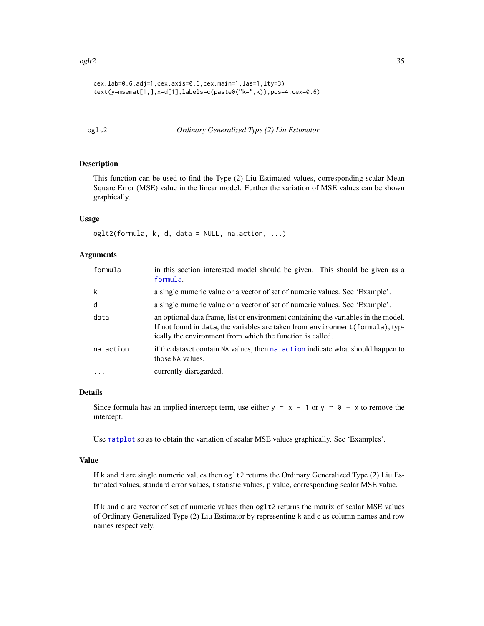```
cex.lab=0.6,adj=1,cex.axis=0.6,cex.main=1,las=1,lty=3)
text(y=msemat[1,],x=d[1],labels=c(paste0("k=",k)),pos=4,cex=0.6)
```
#### oglt2 *Ordinary Generalized Type (2) Liu Estimator*

#### Description

This function can be used to find the Type (2) Liu Estimated values, corresponding scalar Mean Square Error (MSE) value in the linear model. Further the variation of MSE values can be shown graphically.

#### Usage

 $oglt2(formula, k, d, data = NULL, na. action, ...)$ 

#### Arguments

| formula   | in this section interested model should be given. This should be given as a<br>formula.                                                                                                                                           |
|-----------|-----------------------------------------------------------------------------------------------------------------------------------------------------------------------------------------------------------------------------------|
| k         | a single numeric value or a vector of set of numeric values. See 'Example'.                                                                                                                                                       |
| d         | a single numeric value or a vector of set of numeric values. See 'Example'.                                                                                                                                                       |
| data      | an optional data frame, list or environment containing the variables in the model.<br>If not found in data, the variables are taken from environment (formula), typ-<br>ically the environment from which the function is called. |
| na.action | if the dataset contain NA values, then na. action indicate what should happen to<br>those NA values.                                                                                                                              |
| $\cdot$   | currently disregarded.                                                                                                                                                                                                            |

#### Details

Since formula has an implied intercept term, use either y  $\sim x - 1$  or y  $\sim \theta + x$  to remove the intercept.

Use [matplot](#page-0-0) so as to obtain the variation of scalar MSE values graphically. See 'Examples'.

#### Value

If k and d are single numeric values then oglt2 returns the Ordinary Generalized Type (2) Liu Estimated values, standard error values, t statistic values, p value, corresponding scalar MSE value.

If k and d are vector of set of numeric values then oglt2 returns the matrix of scalar MSE values of Ordinary Generalized Type (2) Liu Estimator by representing k and d as column names and row names respectively.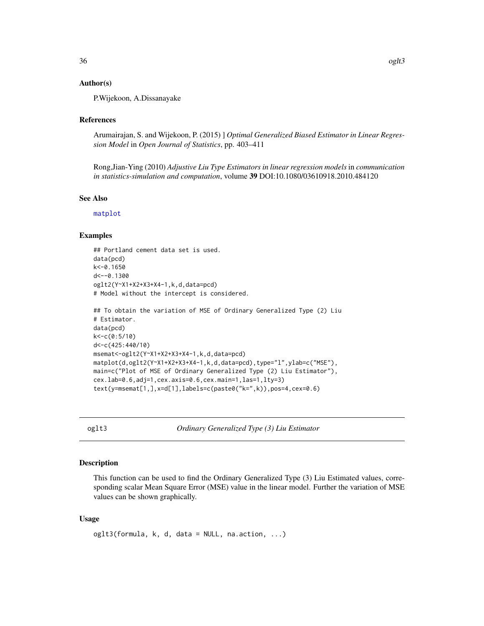#### <span id="page-35-0"></span>Author(s)

P.Wijekoon, A.Dissanayake

#### References

Arumairajan, S. and Wijekoon, P. (2015) ] *Optimal Generalized Biased Estimator in Linear Regression Model* in *Open Journal of Statistics*, pp. 403–411

Rong,Jian-Ying (2010) *Adjustive Liu Type Estimators in linear regression models* in *communication in statistics-simulation and computation*, volume 39 DOI:10.1080/03610918.2010.484120

#### See Also

[matplot](#page-0-0)

#### Examples

```
## Portland cement data set is used.
data(pcd)
k<-0.1650
d < -0.1300oglt2(Y~X1+X2+X3+X4-1,k,d,data=pcd)
# Model without the intercept is considered.
## To obtain the variation of MSE of Ordinary Generalized Type (2) Liu
# Estimator.
data(pcd)
k<-c(0:5/10)
d<-c(425:440/10)
msemat<-oglt2(Y~X1+X2+X3+X4-1,k,d,data=pcd)
matplot(d,oglt2(Y~X1+X2+X3+X4-1,k,d,data=pcd),type="l",ylab=c("MSE"),
main=c("Plot of MSE of Ordinary Generalized Type (2) Liu Estimator"),
cex.lab=0.6,adj=1,cex.axis=0.6,cex.main=1,las=1,lty=3)
text(y=msemat[1,],x=d[1],labels=c(paste0("k=",k)),pos=4,cex=0.6)
```
oglt3 *Ordinary Generalized Type (3) Liu Estimator*

#### Description

This function can be used to find the Ordinary Generalized Type (3) Liu Estimated values, corresponding scalar Mean Square Error (MSE) value in the linear model. Further the variation of MSE values can be shown graphically.

#### Usage

```
oglt3(formula, k, d, data = NULL, na.action, ...)
```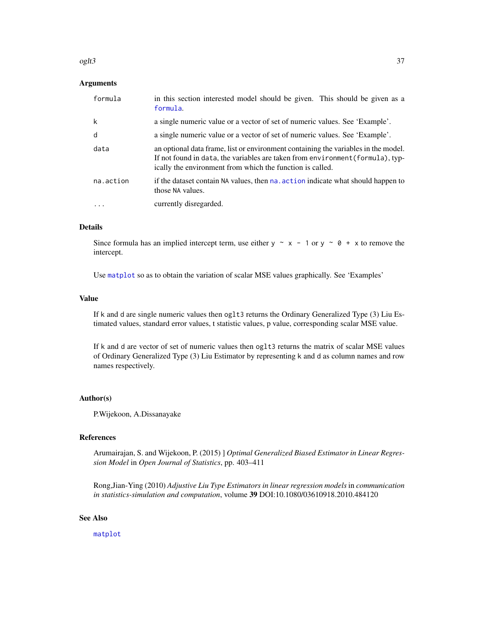#### <span id="page-36-0"></span>oglt3 37

#### Arguments

| formula   | in this section interested model should be given. This should be given as a<br>formula.                                                                                                                                           |
|-----------|-----------------------------------------------------------------------------------------------------------------------------------------------------------------------------------------------------------------------------------|
| k         | a single numeric value or a vector of set of numeric values. See 'Example'.                                                                                                                                                       |
| d         | a single numeric value or a vector of set of numeric values. See 'Example'.                                                                                                                                                       |
| data      | an optional data frame, list or environment containing the variables in the model.<br>If not found in data, the variables are taken from environment (formula), typ-<br>ically the environment from which the function is called. |
| na.action | if the dataset contain NA values, then na, action indicate what should happen to<br>those NA values.                                                                                                                              |
| .         | currently disregarded.                                                                                                                                                                                                            |

#### Details

Since formula has an implied intercept term, use either  $y \sim x - 1$  or  $y \sim 0 + x$  to remove the intercept.

Use [matplot](#page-0-0) so as to obtain the variation of scalar MSE values graphically. See 'Examples'

#### Value

If k and d are single numeric values then oglt3 returns the Ordinary Generalized Type (3) Liu Estimated values, standard error values, t statistic values, p value, corresponding scalar MSE value.

If k and d are vector of set of numeric values then oglt3 returns the matrix of scalar MSE values of Ordinary Generalized Type (3) Liu Estimator by representing k and d as column names and row names respectively.

#### Author(s)

P.Wijekoon, A.Dissanayake

#### References

Arumairajan, S. and Wijekoon, P. (2015) ] *Optimal Generalized Biased Estimator in Linear Regression Model* in *Open Journal of Statistics*, pp. 403–411

Rong,Jian-Ying (2010) *Adjustive Liu Type Estimators in linear regression models* in *communication in statistics-simulation and computation*, volume 39 DOI:10.1080/03610918.2010.484120

#### See Also

[matplot](#page-0-0)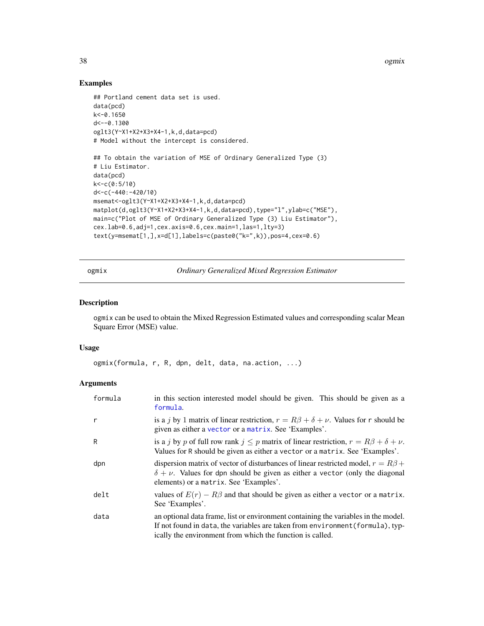38 ogmix

#### Examples

```
## Portland cement data set is used.
data(pcd)
k<-0.1650
d <-- 0.1300
oglt3(Y~X1+X2+X3+X4-1,k,d,data=pcd)
# Model without the intercept is considered.
## To obtain the variation of MSE of Ordinary Generalized Type (3)
# Liu Estimator.
data(pcd)
k<-c(0:5/10)
d<-c(-440:-420/10)
msemat<-oglt3(Y~X1+X2+X3+X4-1,k,d,data=pcd)
matplot(d,oglt3(Y~X1+X2+X3+X4-1,k,d,data=pcd),type="l",ylab=c("MSE"),
main=c("Plot of MSE of Ordinary Generalized Type (3) Liu Estimator"),
cex.lab=0.6,adj=1,cex.axis=0.6,cex.main=1,las=1,lty=3)
text(y=msemat[1,],x=d[1],labels=c(paste0("k=",k)),pos=4,cex=0.6)
```
ogmix *Ordinary Generalized Mixed Regression Estimator*

#### Description

ogmix can be used to obtain the Mixed Regression Estimated values and corresponding scalar Mean Square Error (MSE) value.

#### Usage

ogmix(formula, r, R, dpn, delt, data, na.action, ...)

#### Arguments

| formula | in this section interested model should be given. This should be given as a<br>formula.                                                                                                                                           |
|---------|-----------------------------------------------------------------------------------------------------------------------------------------------------------------------------------------------------------------------------------|
| r       | is a j by 1 matrix of linear restriction, $r = R\beta + \delta + \nu$ . Values for r should be<br>given as either a vector or a matrix. See 'Examples'.                                                                           |
| R       | is a j by p of full row rank $j \leq p$ matrix of linear restriction, $r = R\beta + \delta + \nu$ .<br>Values for R should be given as either a vector or a matrix. See 'Examples'.                                               |
| dpn     | dispersion matrix of vector of disturbances of linear restricted model, $r = R\beta +$<br>$\delta + \nu$ . Values for dpn should be given as either a vector (only the diagonal<br>elements) or a matrix. See 'Examples'.         |
| delt    | values of $E(r) - R\beta$ and that should be given as either a vector or a matrix.<br>See 'Examples'.                                                                                                                             |
| data    | an optional data frame, list or environment containing the variables in the model.<br>If not found in data, the variables are taken from environment (formula), typ-<br>ically the environment from which the function is called. |

<span id="page-37-0"></span>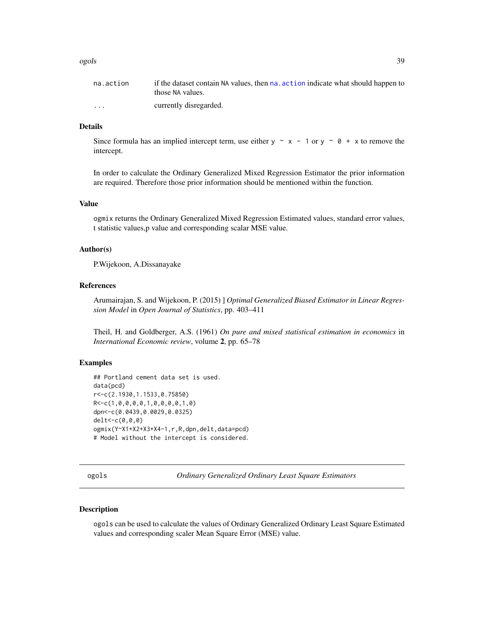#### <span id="page-38-0"></span>ogols 39

| na.action               | if the dataset contain NA values, then na, action indicate what should happen to<br>those NA values. |
|-------------------------|------------------------------------------------------------------------------------------------------|
| $\cdot$ $\cdot$ $\cdot$ | currently disregarded.                                                                               |

#### Details

Since formula has an implied intercept term, use either  $y \sim x - 1$  or  $y \sim 0 + x$  to remove the intercept.

In order to calculate the Ordinary Generalized Mixed Regression Estimator the prior information are required. Therefore those prior information should be mentioned within the function.

#### Value

ogmix returns the Ordinary Generalized Mixed Regression Estimated values, standard error values, t statistic values,p value and corresponding scalar MSE value.

#### Author(s)

P.Wijekoon, A.Dissanayake

#### References

Arumairajan, S. and Wijekoon, P. (2015) ] *Optimal Generalized Biased Estimator in Linear Regression Model* in *Open Journal of Statistics*, pp. 403–411

Theil, H. and Goldberger, A.S. (1961) *On pure and mixed statistical estimation in economics* in *International Economic review*, volume 2, pp. 65–78

#### Examples

```
## Portland cement data set is used.
data(pcd)
r<-c(2.1930,1.1533,0.75850)
R<-c(1,0,0,0,0,1,0,0,0,0,1,0)
dpn<-c(0.0439,0.0029,0.0325)
delt<-c(0,0,0)
ogmix(Y~X1+X2+X3+X4-1,r,R,dpn,delt,data=pcd)
# Model without the intercept is considered.
```
ogols *Ordinary Generalized Ordinary Least Square Estimators*

#### Description

ogols can be used to calculate the values of Ordinary Generalized Ordinary Least Square Estimated values and corresponding scaler Mean Square Error (MSE) value.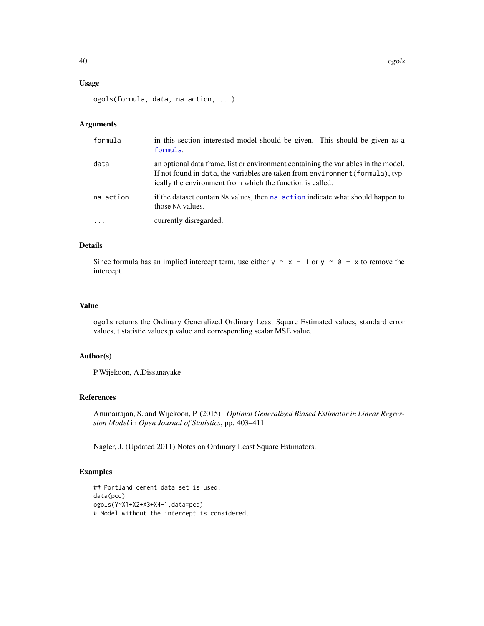#### <span id="page-39-0"></span>Usage

```
ogols(formula, data, na.action, ...)
```
#### Arguments

| formula   | in this section interested model should be given. This should be given as a<br>formula.                                                                                                                                           |  |
|-----------|-----------------------------------------------------------------------------------------------------------------------------------------------------------------------------------------------------------------------------------|--|
| data      | an optional data frame, list or environment containing the variables in the model.<br>If not found in data, the variables are taken from environment (formula), typ-<br>ically the environment from which the function is called. |  |
| na.action | if the dataset contain NA values, then na. action indicate what should happen to<br>those NA values.                                                                                                                              |  |
|           | currently disregarded.                                                                                                                                                                                                            |  |

#### Details

Since formula has an implied intercept term, use either y  $\sim x - 1$  or y  $\sim \theta + x$  to remove the intercept.

#### Value

ogols returns the Ordinary Generalized Ordinary Least Square Estimated values, standard error values, t statistic values,p value and corresponding scalar MSE value.

#### Author(s)

P.Wijekoon, A.Dissanayake

#### References

Arumairajan, S. and Wijekoon, P. (2015) ] *Optimal Generalized Biased Estimator in Linear Regression Model* in *Open Journal of Statistics*, pp. 403–411

Nagler, J. (Updated 2011) Notes on Ordinary Least Square Estimators.

```
## Portland cement data set is used.
data(pcd)
ogols(Y~X1+X2+X3+X4-1,data=pcd)
# Model without the intercept is considered.
```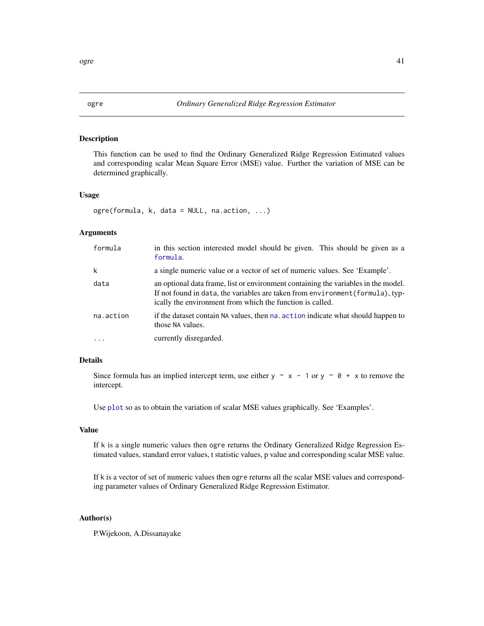#### Description

This function can be used to find the Ordinary Generalized Ridge Regression Estimated values and corresponding scalar Mean Square Error (MSE) value. Further the variation of MSE can be determined graphically.

#### Usage

ogre(formula, k, data = NULL, na.action, ...)

#### Arguments

| formula   | in this section interested model should be given. This should be given as a<br>formula.                                                                                                                                           |
|-----------|-----------------------------------------------------------------------------------------------------------------------------------------------------------------------------------------------------------------------------------|
| k         | a single numeric value or a vector of set of numeric values. See 'Example'.                                                                                                                                                       |
| data      | an optional data frame, list or environment containing the variables in the model.<br>If not found in data, the variables are taken from environment (formula), typ-<br>ically the environment from which the function is called. |
| na.action | if the dataset contain NA values, then na action indicate what should happen to<br>those NA values.                                                                                                                               |
| $\cdot$   | currently disregarded.                                                                                                                                                                                                            |

#### Details

Since formula has an implied intercept term, use either y  $\sim x - 1$  or y  $\sim \emptyset + x$  to remove the intercept.

Use [plot](#page-0-0) so as to obtain the variation of scalar MSE values graphically. See 'Examples'.

#### Value

If k is a single numeric values then ogre returns the Ordinary Generalized Ridge Regression Estimated values, standard error values, t statistic values, p value and corresponding scalar MSE value.

If k is a vector of set of numeric values then ogre returns all the scalar MSE values and corresponding parameter values of Ordinary Generalized Ridge Regression Estimator.

#### Author(s)

P.Wijekoon, A.Dissanayake

<span id="page-40-0"></span>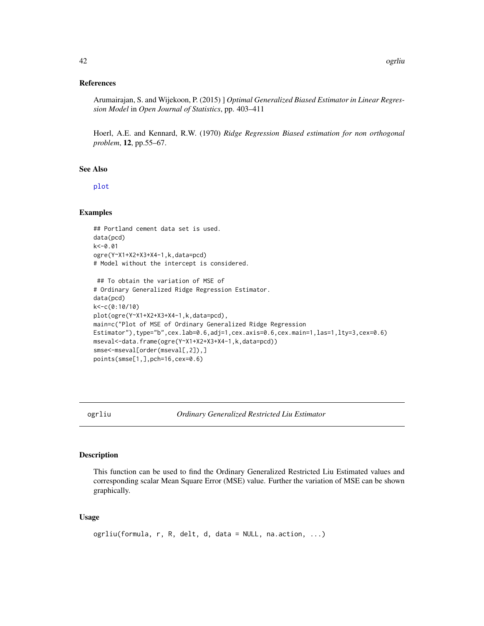#### <span id="page-41-0"></span>References

Arumairajan, S. and Wijekoon, P. (2015) ] *Optimal Generalized Biased Estimator in Linear Regression Model* in *Open Journal of Statistics*, pp. 403–411

Hoerl, A.E. and Kennard, R.W. (1970) *Ridge Regression Biased estimation for non orthogonal problem*, 12, pp.55–67.

#### See Also

[plot](#page-0-0)

#### Examples

```
## Portland cement data set is used.
data(pcd)
k<-0.01
ogre(Y~X1+X2+X3+X4-1,k,data=pcd)
# Model without the intercept is considered.
```

```
## To obtain the variation of MSE of
# Ordinary Generalized Ridge Regression Estimator.
data(pcd)
k<-c(0:10/10)
plot(ogre(Y~X1+X2+X3+X4-1,k,data=pcd),
main=c("Plot of MSE of Ordinary Generalized Ridge Regression
Estimator"),type="b",cex.lab=0.6,adj=1,cex.axis=0.6,cex.main=1,las=1,lty=3,cex=0.6)
mseval<-data.frame(ogre(Y~X1+X2+X3+X4-1,k,data=pcd))
smse<-mseval[order(mseval[,2]),]
points(smse[1,],pch=16,cex=0.6)
```
ogrliu *Ordinary Generalized Restricted Liu Estimator*

#### Description

This function can be used to find the Ordinary Generalized Restricted Liu Estimated values and corresponding scalar Mean Square Error (MSE) value. Further the variation of MSE can be shown graphically.

#### Usage

```
ogrliu(formula, r, R, delt, d, data = NULL, na.action, ...)
```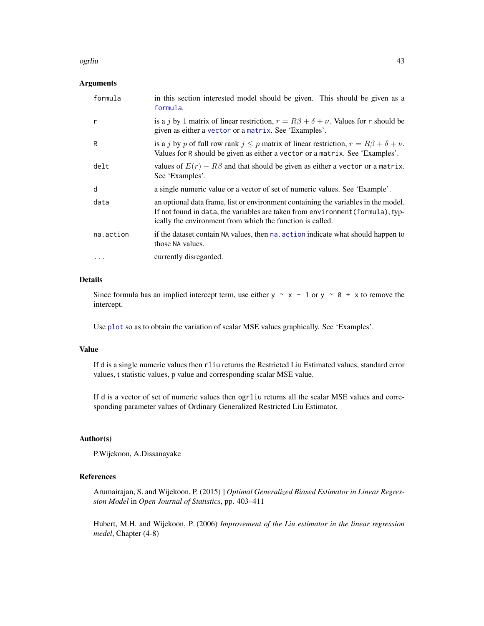#### <span id="page-42-0"></span>ogrliu 43

#### Arguments

| formula   | in this section interested model should be given. This should be given as a<br>formula.                                                                                                                                           |  |
|-----------|-----------------------------------------------------------------------------------------------------------------------------------------------------------------------------------------------------------------------------------|--|
| r         | is a j by 1 matrix of linear restriction, $r = R\beta + \delta + \nu$ . Values for r should be<br>given as either a vector or a matrix. See 'Examples'.                                                                           |  |
| R         | is a j by p of full row rank $j \leq p$ matrix of linear restriction, $r = R\beta + \delta + \nu$ .<br>Values for R should be given as either a vector or a matrix. See 'Examples'.                                               |  |
| delt      | values of $E(r) - R\beta$ and that should be given as either a vector or a matrix.<br>See 'Examples'.                                                                                                                             |  |
| d         | a single numeric value or a vector of set of numeric values. See 'Example'.                                                                                                                                                       |  |
| data      | an optional data frame, list or environment containing the variables in the model.<br>If not found in data, the variables are taken from environment (formula), typ-<br>ically the environment from which the function is called. |  |
| na.action | if the dataset contain NA values, then na. action indicate what should happen to<br>those NA values.                                                                                                                              |  |
| .         | currently disregarded.                                                                                                                                                                                                            |  |

#### Details

Since formula has an implied intercept term, use either  $y \sim x - 1$  or  $y \sim 0 + x$  to remove the intercept.

Use [plot](#page-0-0) so as to obtain the variation of scalar MSE values graphically. See 'Examples'.

#### Value

If d is a single numeric values then rliu returns the Restricted Liu Estimated values, standard error values, t statistic values, p value and corresponding scalar MSE value.

If d is a vector of set of numeric values then ogrliu returns all the scalar MSE values and corresponding parameter values of Ordinary Generalized Restricted Liu Estimator.

#### Author(s)

P.Wijekoon, A.Dissanayake

#### References

Arumairajan, S. and Wijekoon, P. (2015) ] *Optimal Generalized Biased Estimator in Linear Regression Model* in *Open Journal of Statistics*, pp. 403–411

Hubert, M.H. and Wijekoon, P. (2006) *Improvement of the Liu estimator in the linear regression medel*, Chapter (4-8)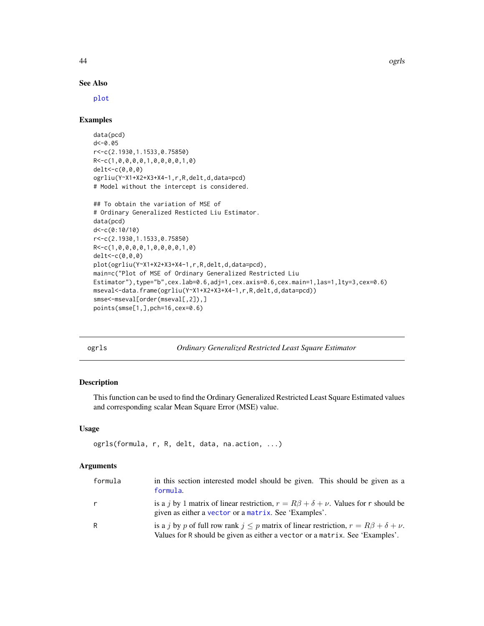#### See Also

[plot](#page-0-0)

#### Examples

```
data(pcd)
d<-0.05
r<-c(2.1930,1.1533,0.75850)
R<-c(1,0,0,0,0,1,0,0,0,0,1,0)
delt<-c(0,0,0)
ogrliu(Y~X1+X2+X3+X4-1,r,R,delt,d,data=pcd)
# Model without the intercept is considered.
```

```
## To obtain the variation of MSE of
# Ordinary Generalized Resticted Liu Estimator.
data(pcd)
d<-c(0:10/10)
r<-c(2.1930,1.1533,0.75850)
R<-c(1,0,0,0,0,1,0,0,0,0,1,0)
delt<-c(0,0,0)
plot(ogrliu(Y~X1+X2+X3+X4-1,r,R,delt,d,data=pcd),
main=c("Plot of MSE of Ordinary Generalized Restricted Liu
Estimator"),type="b",cex.lab=0.6,adj=1,cex.axis=0.6,cex.main=1,las=1,lty=3,cex=0.6)
mseval<-data.frame(ogrliu(Y~X1+X2+X3+X4-1,r,R,delt,d,data=pcd))
smse<-mseval[order(mseval[,2]),]
points(smse[1,],pch=16,cex=0.6)
```
ogrls *Ordinary Generalized Restricted Least Square Estimator*

#### Description

This function can be used to find the Ordinary Generalized Restricted Least Square Estimated values and corresponding scalar Mean Square Error (MSE) value.

#### Usage

```
ogrls(formula, r, R, delt, data, na.action, ...)
```
#### Arguments

| formula | in this section interested model should be given. This should be given as a<br>formula.                                                                                             |
|---------|-------------------------------------------------------------------------------------------------------------------------------------------------------------------------------------|
| r       | is a j by 1 matrix of linear restriction, $r = R\beta + \delta + \nu$ . Values for r should be<br>given as either a vector or a matrix. See 'Examples'.                             |
| R       | is a j by p of full row rank $j \leq p$ matrix of linear restriction, $r = R\beta + \delta + \nu$ .<br>Values for R should be given as either a vector or a matrix. See 'Examples'. |

<span id="page-43-0"></span>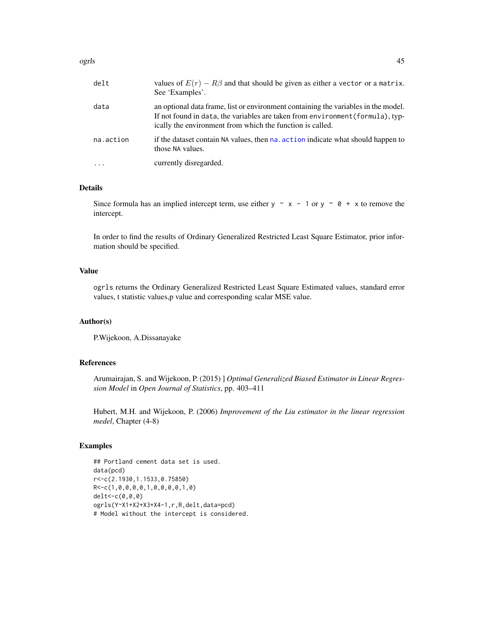<span id="page-44-0"></span>

| delt | values of $E(r) - R\beta$ and that should be given as either a vector or a matrix.<br>See 'Examples'. |
|------|-------------------------------------------------------------------------------------------------------|
| data | an optional data frame, list or environment containing the variables in the model.                    |

If not found in data, the variables are taken from environment(formula), typically the environment from which the function is called. na.action if the dataset contain NA values, then [na.action](#page-0-0) indicate what should happen to those NA values.

... currently disregarded.

#### Details

Since formula has an implied intercept term, use either  $y \sim x - 1$  or  $y \sim \emptyset + x$  to remove the intercept.

In order to find the results of Ordinary Generalized Restricted Least Square Estimator, prior information should be specified.

#### Value

ogrls returns the Ordinary Generalized Restricted Least Square Estimated values, standard error values, t statistic values,p value and corresponding scalar MSE value.

#### Author(s)

P.Wijekoon, A.Dissanayake

#### References

Arumairajan, S. and Wijekoon, P. (2015) ] *Optimal Generalized Biased Estimator in Linear Regression Model* in *Open Journal of Statistics*, pp. 403–411

Hubert, M.H. and Wijekoon, P. (2006) *Improvement of the Liu estimator in the linear regression medel*, Chapter (4-8)

```
## Portland cement data set is used.
data(pcd)
r<-c(2.1930,1.1533,0.75850)
R<-c(1,0,0,0,0,1,0,0,0,0,1,0)
delt<-c(0,0,0)
ogrls(Y~X1+X2+X3+X4-1,r,R,delt,data=pcd)
# Model without the intercept is considered.
```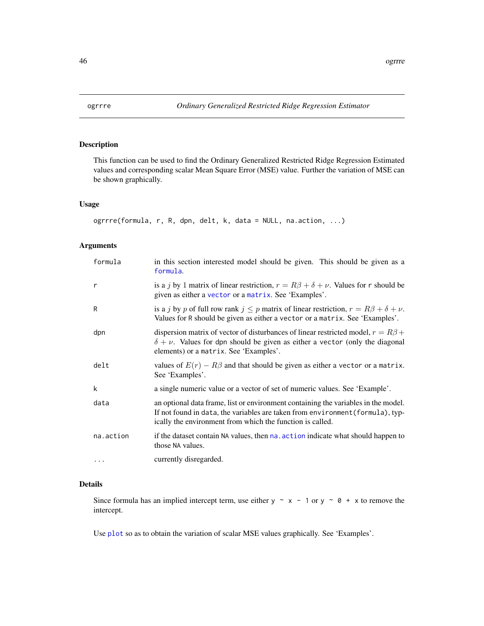<span id="page-45-0"></span>

#### Description

This function can be used to find the Ordinary Generalized Restricted Ridge Regression Estimated values and corresponding scalar Mean Square Error (MSE) value. Further the variation of MSE can be shown graphically.

#### Usage

```
ogrrre(formula, r, R, dpn, delt, k, data = NULL, na.action, ...)
```
#### Arguments

| formula   | in this section interested model should be given. This should be given as a<br>formula.                                                                                                                                           |
|-----------|-----------------------------------------------------------------------------------------------------------------------------------------------------------------------------------------------------------------------------------|
| r         | is a j by 1 matrix of linear restriction, $r = R\beta + \delta + \nu$ . Values for r should be<br>given as either a vector or a matrix. See 'Examples'.                                                                           |
| R         | is a j by p of full row rank $j \leq p$ matrix of linear restriction, $r = R\beta + \delta + \nu$ .<br>Values for R should be given as either a vector or a matrix. See 'Examples'.                                               |
| dpn       | dispersion matrix of vector of disturbances of linear restricted model, $r = R\beta +$<br>$\delta + \nu$ . Values for dpn should be given as either a vector (only the diagonal<br>elements) or a matrix. See 'Examples'.         |
| delt      | values of $E(r) - R\beta$ and that should be given as either a vector or a matrix.<br>See 'Examples'.                                                                                                                             |
| k         | a single numeric value or a vector of set of numeric values. See 'Example'.                                                                                                                                                       |
| data      | an optional data frame, list or environment containing the variables in the model.<br>If not found in data, the variables are taken from environment (formula), typ-<br>ically the environment from which the function is called. |
| na.action | if the dataset contain NA values, then na. action indicate what should happen to<br>those NA values.                                                                                                                              |
| $\cdots$  | currently disregarded.                                                                                                                                                                                                            |

#### Details

Since formula has an implied intercept term, use either y  $\sim x - 1$  or y  $\sim \theta + x$  to remove the intercept.

Use [plot](#page-0-0) so as to obtain the variation of scalar MSE values graphically. See 'Examples'.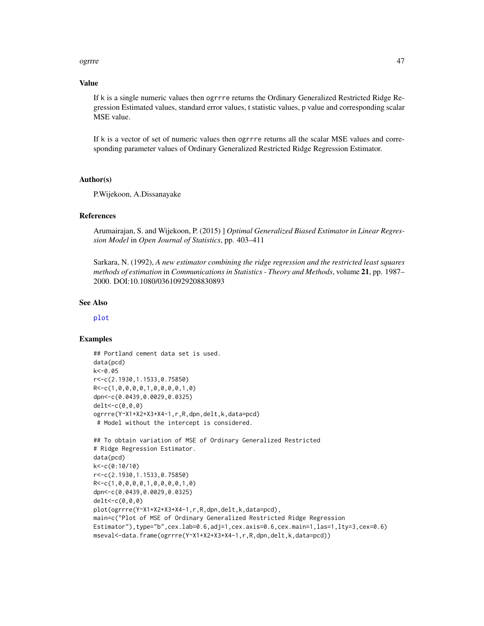#### ogrrre to a state of the state of the state of the state of the state of the state of the state of the state of the state of the state of the state of the state of the state of the state of the state of the state of the st

#### Value

If k is a single numeric values then ogrrre returns the Ordinary Generalized Restricted Ridge Regression Estimated values, standard error values, t statistic values, p value and corresponding scalar MSE value.

If k is a vector of set of numeric values then ogrrre returns all the scalar MSE values and corresponding parameter values of Ordinary Generalized Restricted Ridge Regression Estimator.

#### Author(s)

P.Wijekoon, A.Dissanayake

#### **References**

Arumairajan, S. and Wijekoon, P. (2015) ] *Optimal Generalized Biased Estimator in Linear Regression Model* in *Open Journal of Statistics*, pp. 403–411

Sarkara, N. (1992), *A new estimator combining the ridge regression and the restricted least squares methods of estimation* in *Communications in Statistics - Theory and Methods*, volume 21, pp. 1987– 2000. DOI:10.1080/03610929208830893

#### See Also

[plot](#page-0-0)

```
## Portland cement data set is used.
data(pcd)
k<-0.05
r<-c(2.1930,1.1533,0.75850)
R<-c(1,0,0,0,0,1,0,0,0,0,1,0)
dpn<-c(0.0439,0.0029,0.0325)
delt<-c(0,0,0)
ogrrre(Y~X1+X2+X3+X4-1,r,R,dpn,delt,k,data=pcd)
 # Model without the intercept is considered.
## To obtain variation of MSE of Ordinary Generalized Restricted
# Ridge Regression Estimator.
data(pcd)
k<-c(0:10/10)
r<-c(2.1930,1.1533,0.75850)
R<-c(1,0,0,0,0,1,0,0,0,0,1,0)
dpn<-c(0.0439,0.0029,0.0325)
delt<-c(0,0,0)
plot(ogrrre(Y~X1+X2+X3+X4-1,r,R,dpn,delt,k,data=pcd),
main=c("Plot of MSE of Ordinary Generalized Restricted Ridge Regression
Estimator"),type="b",cex.lab=0.6,adj=1,cex.axis=0.6,cex.main=1,las=1,lty=3,cex=0.6)
mseval<-data.frame(ogrrre(Y~X1+X2+X3+X4-1,r,R,dpn,delt,k,data=pcd))
```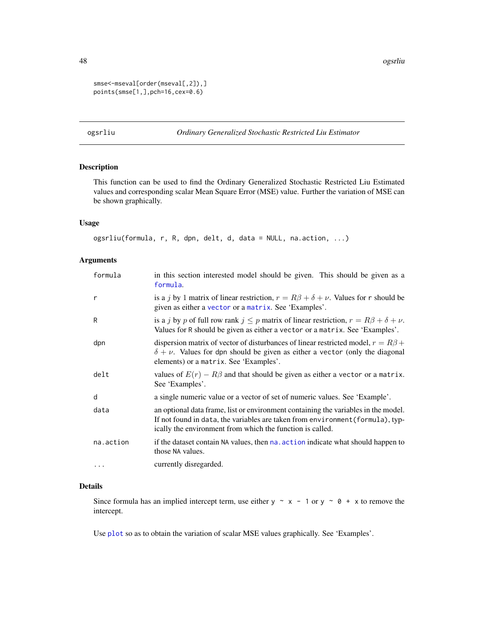```
smse<-mseval[order(mseval[,2]),]
points(smse[1,],pch=16,cex=0.6)
```
#### ogsrliu *Ordinary Generalized Stochastic Restricted Liu Estimator*

#### Description

This function can be used to find the Ordinary Generalized Stochastic Restricted Liu Estimated values and corresponding scalar Mean Square Error (MSE) value. Further the variation of MSE can be shown graphically.

#### Usage

```
ogsrliu(formula, r, R, dpn, delt, d, data = NULL, na.action, ...)
```
#### Arguments

| formula   | in this section interested model should be given. This should be given as a<br>formula.                                                                                                                                           |  |
|-----------|-----------------------------------------------------------------------------------------------------------------------------------------------------------------------------------------------------------------------------------|--|
| r         | is a j by 1 matrix of linear restriction, $r = R\beta + \delta + \nu$ . Values for r should be<br>given as either a vector or a matrix. See 'Examples'.                                                                           |  |
| R         | is a j by p of full row rank $j \leq p$ matrix of linear restriction, $r = R\beta + \delta + \nu$ .<br>Values for R should be given as either a vector or a matrix. See 'Examples'.                                               |  |
| dpn       | dispersion matrix of vector of disturbances of linear restricted model, $r = R\beta +$<br>$\delta + \nu$ . Values for dpn should be given as either a vector (only the diagonal<br>elements) or a matrix. See 'Examples'.         |  |
| delt      | values of $E(r) - R\beta$ and that should be given as either a vector or a matrix.<br>See 'Examples'.                                                                                                                             |  |
| d         | a single numeric value or a vector of set of numeric values. See 'Example'.                                                                                                                                                       |  |
| data      | an optional data frame, list or environment containing the variables in the model.<br>If not found in data, the variables are taken from environment (formula), typ-<br>ically the environment from which the function is called. |  |
| na.action | if the dataset contain NA values, then na. action indicate what should happen to<br>those NA values.                                                                                                                              |  |
| $\cdots$  | currently disregarded.                                                                                                                                                                                                            |  |

#### Details

Since formula has an implied intercept term, use either  $y \sim x - 1$  or  $y \sim 0 + x$  to remove the intercept.

Use [plot](#page-0-0) so as to obtain the variation of scalar MSE values graphically. See 'Examples'.

<span id="page-47-0"></span>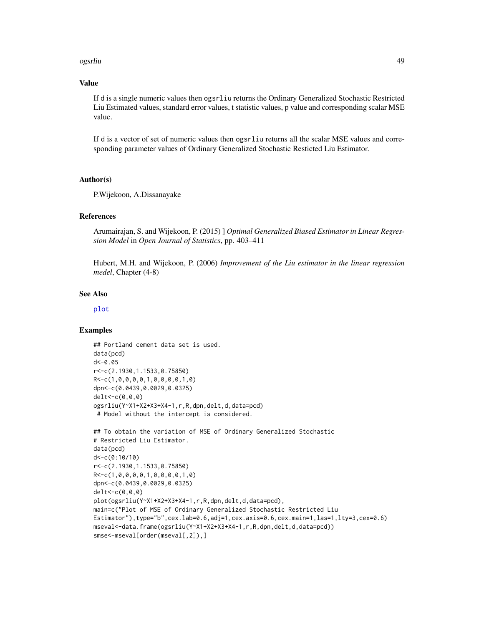#### ogsrliu 49

#### Value

If d is a single numeric values then ogsrliu returns the Ordinary Generalized Stochastic Restricted Liu Estimated values, standard error values, t statistic values, p value and corresponding scalar MSE value.

If d is a vector of set of numeric values then ogsrliu returns all the scalar MSE values and corresponding parameter values of Ordinary Generalized Stochastic Resticted Liu Estimator.

#### Author(s)

P.Wijekoon, A.Dissanayake

#### References

Arumairajan, S. and Wijekoon, P. (2015) ] *Optimal Generalized Biased Estimator in Linear Regression Model* in *Open Journal of Statistics*, pp. 403–411

Hubert, M.H. and Wijekoon, P. (2006) *Improvement of the Liu estimator in the linear regression medel*, Chapter (4-8)

#### See Also

[plot](#page-0-0)

```
## Portland cement data set is used.
data(pcd)
d<-0.05
r<-c(2.1930,1.1533,0.75850)
R<-c(1,0,0,0,0,1,0,0,0,0,1,0)
dpn<-c(0.0439,0.0029,0.0325)
delt<-c(0,0,0)
ogsrliu(Y~X1+X2+X3+X4-1,r,R,dpn,delt,d,data=pcd)
# Model without the intercept is considered.
## To obtain the variation of MSE of Ordinary Generalized Stochastic
# Restricted Liu Estimator.
data(pcd)
d<-c(0:10/10)
r<-c(2.1930,1.1533,0.75850)
R<-c(1,0,0,0,0,1,0,0,0,0,1,0)
dpn<-c(0.0439,0.0029,0.0325)
delt<-c(0,0,0)
plot(ogsrliu(Y~X1+X2+X3+X4-1,r,R,dpn,delt,d,data=pcd),
main=c("Plot of MSE of Ordinary Generalized Stochastic Restricted Liu
Estimator"),type="b",cex.lab=0.6,adj=1,cex.axis=0.6,cex.main=1,las=1,lty=3,cex=0.6)
mseval<-data.frame(ogsrliu(Y~X1+X2+X3+X4-1,r,R,dpn,delt,d,data=pcd))
smse<-mseval[order(mseval[,2]),]
```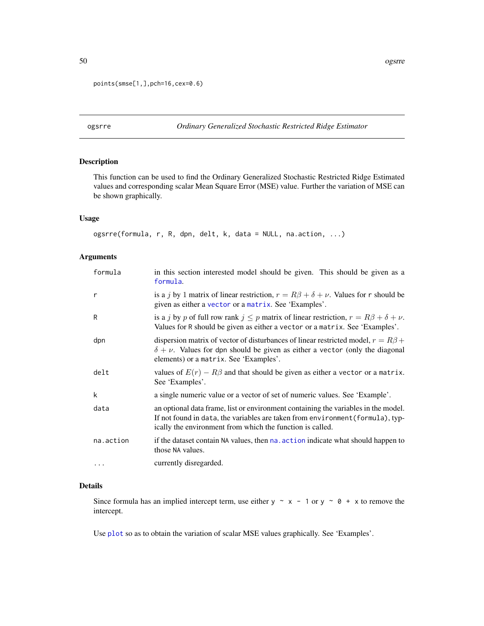```
points(smse[1,],pch=16,cex=0.6)
```
ogsrre *Ordinary Generalized Stochastic Restricted Ridge Estimator*

#### Description

This function can be used to find the Ordinary Generalized Stochastic Restricted Ridge Estimated values and corresponding scalar Mean Square Error (MSE) value. Further the variation of MSE can be shown graphically.

#### Usage

```
ogsrre(formula, r, R, dpn, delt, k, data = NULL, na.action, ...)
```
#### Arguments

| formula   | in this section interested model should be given. This should be given as a<br>formula.                                                                                                                                           |  |
|-----------|-----------------------------------------------------------------------------------------------------------------------------------------------------------------------------------------------------------------------------------|--|
| r         | is a j by 1 matrix of linear restriction, $r = R\beta + \delta + \nu$ . Values for r should be<br>given as either a vector or a matrix. See 'Examples'.                                                                           |  |
| R         | is a j by p of full row rank $j \leq p$ matrix of linear restriction, $r = R\beta + \delta + \nu$ .<br>Values for R should be given as either a vector or a matrix. See 'Examples'.                                               |  |
| dpn       | dispersion matrix of vector of disturbances of linear restricted model, $r = R\beta +$<br>$\delta + \nu$ . Values for dpn should be given as either a vector (only the diagonal<br>elements) or a matrix. See 'Examples'.         |  |
| delt      | values of $E(r) - R\beta$ and that should be given as either a vector or a matrix.<br>See 'Examples'.                                                                                                                             |  |
| k         | a single numeric value or a vector of set of numeric values. See 'Example'.                                                                                                                                                       |  |
| data      | an optional data frame, list or environment containing the variables in the model.<br>If not found in data, the variables are taken from environment (formula), typ-<br>ically the environment from which the function is called. |  |
| na.action | if the dataset contain NA values, then nation indicate what should happen to<br>those NA values.                                                                                                                                  |  |
| $\cdots$  | currently disregarded.                                                                                                                                                                                                            |  |

#### Details

Since formula has an implied intercept term, use either  $y \sim x - 1$  or  $y \sim 0 + x$  to remove the intercept.

Use [plot](#page-0-0) so as to obtain the variation of scalar MSE values graphically. See 'Examples'.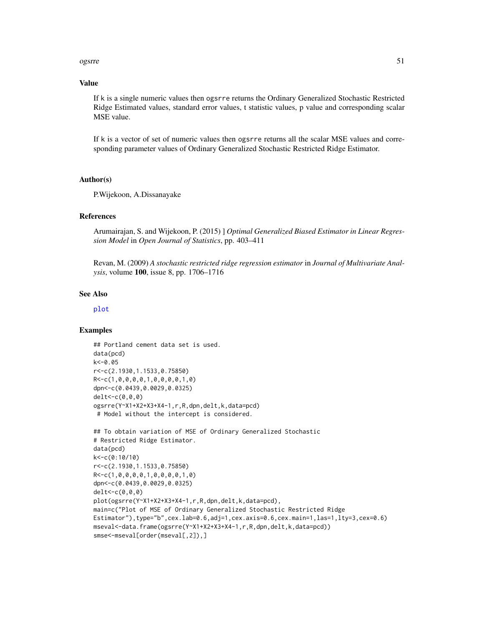#### <span id="page-50-0"></span>ogsrre 51

#### Value

If k is a single numeric values then ogsrre returns the Ordinary Generalized Stochastic Restricted Ridge Estimated values, standard error values, t statistic values, p value and corresponding scalar MSE value.

If k is a vector of set of numeric values then ogsrre returns all the scalar MSE values and corresponding parameter values of Ordinary Generalized Stochastic Restricted Ridge Estimator.

#### Author(s)

P.Wijekoon, A.Dissanayake

#### References

Arumairajan, S. and Wijekoon, P. (2015) ] *Optimal Generalized Biased Estimator in Linear Regression Model* in *Open Journal of Statistics*, pp. 403–411

Revan, M. (2009) *A stochastic restricted ridge regression estimator* in *Journal of Multivariate Analysis*, volume 100, issue 8, pp. 1706–1716

#### See Also

[plot](#page-0-0)

```
## Portland cement data set is used.
data(pcd)
k<-0.05
r<-c(2.1930,1.1533,0.75850)
R<-c(1,0,0,0,0,1,0,0,0,0,1,0)
dpn<-c(0.0439,0.0029,0.0325)
delt<-c(0,0,0)
ogsrre(Y~X1+X2+X3+X4-1,r,R,dpn,delt,k,data=pcd)
# Model without the intercept is considered.
## To obtain variation of MSE of Ordinary Generalized Stochastic
# Restricted Ridge Estimator.
data(pcd)
k<-c(0:10/10)
r<-c(2.1930,1.1533,0.75850)
R<-c(1,0,0,0,0,1,0,0,0,0,1,0)
dpn<-c(0.0439,0.0029,0.0325)
delt<-c(0,0,0)
plot(ogsrre(Y~X1+X2+X3+X4-1,r,R,dpn,delt,k,data=pcd),
main=c("Plot of MSE of Ordinary Generalized Stochastic Restricted Ridge
Estimator"),type="b",cex.lab=0.6,adj=1,cex.axis=0.6,cex.main=1,las=1,lty=3,cex=0.6)
mseval<-data.frame(ogsrre(Y~X1+X2+X3+X4-1,r,R,dpn,delt,k,data=pcd))
smse<-mseval[order(mseval[,2]),]
```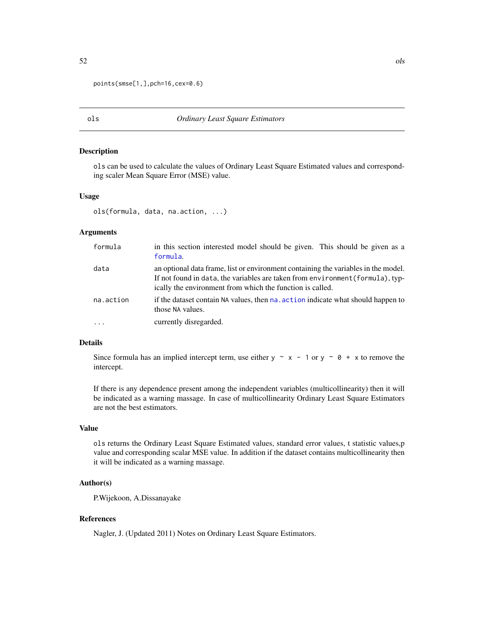```
points(smse[1,],pch=16,cex=0.6)
```
#### ols *Ordinary Least Square Estimators*

#### Description

ols can be used to calculate the values of Ordinary Least Square Estimated values and corresponding scaler Mean Square Error (MSE) value.

#### Usage

```
ols(formula, data, na.action, ...)
```
#### Arguments

| formula   | in this section interested model should be given. This should be given as a<br>formula.                                                                                                                                                                                                                                                   |  |
|-----------|-------------------------------------------------------------------------------------------------------------------------------------------------------------------------------------------------------------------------------------------------------------------------------------------------------------------------------------------|--|
| data      | an optional data frame, list or environment containing the variables in the model.<br>If not found in data, the variables are taken from environment (formula), typ-<br>ically the environment from which the function is called.<br>if the dataset contain NA values, then na, action indicate what should happen to<br>those NA values. |  |
| na.action |                                                                                                                                                                                                                                                                                                                                           |  |
| $\cdot$   | currently disregarded.                                                                                                                                                                                                                                                                                                                    |  |

#### Details

Since formula has an implied intercept term, use either y  $\sim x - 1$  or y  $\sim \emptyset + x$  to remove the intercept.

If there is any dependence present among the independent variables (multicollinearity) then it will be indicated as a warning massage. In case of multicollinearity Ordinary Least Square Estimators are not the best estimators.

#### Value

ols returns the Ordinary Least Square Estimated values, standard error values, t statistic values,p value and corresponding scalar MSE value. In addition if the dataset contains multicollinearity then it will be indicated as a warning massage.

#### Author(s)

P.Wijekoon, A.Dissanayake

#### References

Nagler, J. (Updated 2011) Notes on Ordinary Least Square Estimators.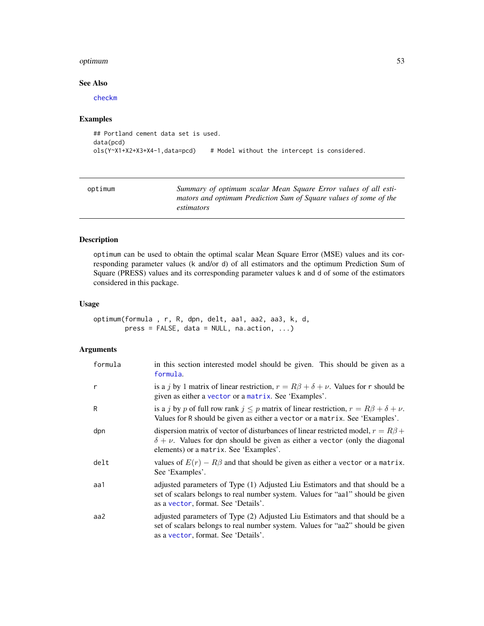#### <span id="page-52-0"></span>optimum 53

#### See Also

[checkm](#page-12-1)

#### Examples

```
## Portland cement data set is used.
data(pcd)
ols(Y~X1+X2+X3+X4-1,data=pcd) # Model without the intercept is considered.
```
<span id="page-52-1"></span>

| optimum | Summary of optimum scalar Mean Square Error values of all esti-   |
|---------|-------------------------------------------------------------------|
|         | mators and optimum Prediction Sum of Square values of some of the |
|         | estimators                                                        |

### Description

optimum can be used to obtain the optimal scalar Mean Square Error (MSE) values and its corresponding parameter values (k and/or d) of all estimators and the optimum Prediction Sum of Square (PRESS) values and its corresponding parameter values k and d of some of the estimators considered in this package.

#### Usage

```
optimum(formula , r, R, dpn, delt, aa1, aa2, aa3, k, d,
       press = FALSE, data = NULL, na.action, ...)
```
#### Arguments

| formula | in this section interested model should be given. This should be given as a<br>formula.                                                                                                                                   |  |
|---------|---------------------------------------------------------------------------------------------------------------------------------------------------------------------------------------------------------------------------|--|
| r       | is a j by 1 matrix of linear restriction, $r = R\beta + \delta + \nu$ . Values for r should be<br>given as either a vector or a matrix. See 'Examples'.                                                                   |  |
| R       | is a j by p of full row rank $j \leq p$ matrix of linear restriction, $r = R\beta + \delta + \nu$ .<br>Values for R should be given as either a vector or a matrix. See 'Examples'.                                       |  |
| dpn     | dispersion matrix of vector of disturbances of linear restricted model, $r = R\beta +$<br>$\delta + \nu$ . Values for dpn should be given as either a vector (only the diagonal<br>elements) or a matrix. See 'Examples'. |  |
| delt    | values of $E(r) - R\beta$ and that should be given as either a vector or a matrix.<br>See 'Examples'.                                                                                                                     |  |
| aa1     | adjusted parameters of Type (1) Adjusted Liu Estimators and that should be a<br>set of scalars belongs to real number system. Values for "aa1" should be given<br>as a vector, format. See 'Details'.                     |  |
| aa2     | adjusted parameters of Type (2) Adjusted Liu Estimators and that should be a<br>set of scalars belongs to real number system. Values for "aa2" should be given<br>as a vector, format. See 'Details'.                     |  |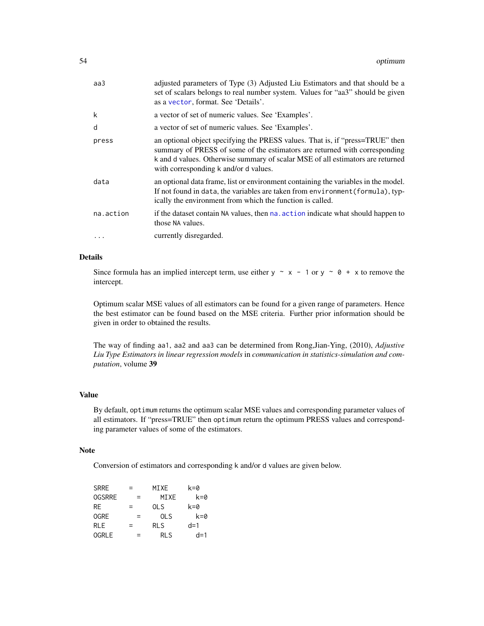<span id="page-53-0"></span>

| aa3       | adjusted parameters of Type (3) Adjusted Liu Estimators and that should be a<br>set of scalars belongs to real number system. Values for "aa3" should be given<br>as a vector, format. See 'Details'.                                                                                  |
|-----------|----------------------------------------------------------------------------------------------------------------------------------------------------------------------------------------------------------------------------------------------------------------------------------------|
| k         | a vector of set of numeric values. See 'Examples'.                                                                                                                                                                                                                                     |
| d         | a vector of set of numeric values. See 'Examples'.                                                                                                                                                                                                                                     |
| press     | an optional object specifying the PRESS values. That is, if "press=TRUE" then<br>summary of PRESS of some of the estimators are returned with corresponding<br>k and d values. Otherwise summary of scalar MSE of all estimators are returned<br>with corresponding k and/or d values. |
| data      | an optional data frame, list or environment containing the variables in the model.<br>If not found in data, the variables are taken from environment (formula), typ-<br>ically the environment from which the function is called.                                                      |
| na.action | if the dataset contain NA values, then na, action indicate what should happen to<br>those NA values.                                                                                                                                                                                   |
|           | currently disregarded.                                                                                                                                                                                                                                                                 |

#### Details

Since formula has an implied intercept term, use either y  $\sim x - 1$  or y  $\sim \theta + x$  to remove the intercept.

Optimum scalar MSE values of all estimators can be found for a given range of parameters. Hence the best estimator can be found based on the MSE criteria. Further prior information should be given in order to obtained the results.

The way of finding aa1, aa2 and aa3 can be determined from Rong,Jian-Ying, (2010), *Adjustive Liu Type Estimators in linear regression models* in *communication in statistics-simulation and computation*, volume 39

#### Value

By default, optimum returns the optimum scalar MSE values and corresponding parameter values of all estimators. If "press=TRUE" then optimum return the optimum PRESS values and corresponding parameter values of some of the estimators.

#### Note

Conversion of estimators and corresponding k and/or d values are given below.

| <b>SRRE</b>   | $=$ | MIXE       | k=0   |
|---------------|-----|------------|-------|
| <b>OGSRRE</b> | $=$ | MIXE       | k=0   |
| RF.           | $=$ | <b>OLS</b> | k=0   |
| <b>OGRE</b>   | $=$ | 0LS        | k=0   |
| <b>RLE</b>    | $=$ | <b>RLS</b> | $d=1$ |
| <b>OGRLE</b>  | $=$ | RI S       | $d=1$ |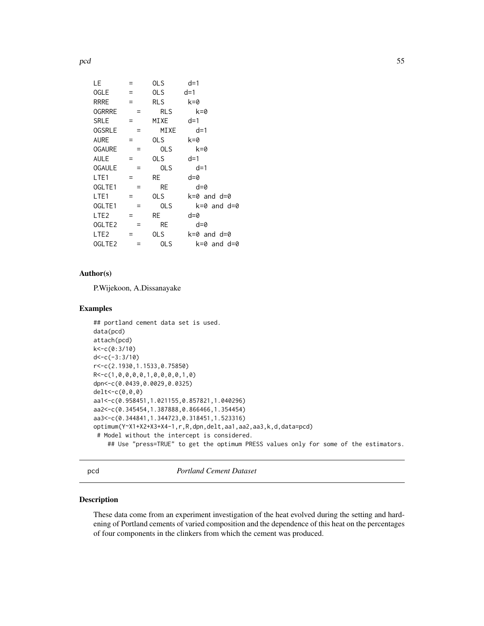<span id="page-54-0"></span>pcd 55

| LE.                | $=$ | <b>OLS</b>      | $d=1$           |
|--------------------|-----|-----------------|-----------------|
| <b>OGLE</b>        | $=$ | OLS <sub></sub> | d=1             |
| <b>RRRE</b>        | $=$ | <b>RLS</b>      | k=0             |
| <b>OGRRRE</b>      | Ξ   | <b>RLS</b>      | $k=0$           |
| SRLE               | $=$ | MIXE            | $d=1$           |
| <b>OGSRLE</b>      | Ξ   | MIXE            | $d=1$           |
| <b>AURE</b>        | Ξ   | OLS.            | k=0             |
| <b>OGAURE</b>      | $=$ | OLS             | $k=0$           |
| <b>AULE</b>        | $=$ | OLS.            | $d=1$           |
| <b>OGAULE</b>      | $=$ | <b>OLS</b>      | $d=1$           |
| LTE <sub>1</sub>   |     | RE              | d=0             |
| OGLTE1             |     | <b>RE</b>       | $d = 0$         |
| LTE <sub>1</sub>   | Ξ   | OLS.            | k=0 and d=0     |
| OGLTE1             | Ξ   | OLS             | k=0 and d=0     |
| LTE <sub>2</sub>   | $=$ | RE              | $d = 0$         |
| OGLTE <sub>2</sub> | Ξ   | RE              | $d = 0$         |
| LTE <sub>2</sub>   | =   | OLS             | $k=0$ and $d=0$ |
| OGLTE <sub>2</sub> | =   | 0LS             | k=0 and d=0     |
|                    |     |                 |                 |

#### Author(s)

P.Wijekoon, A.Dissanayake

#### Examples

```
## portland cement data set is used.
data(pcd)
attach(pcd)
k<-c(0:3/10)
d<-c(-3:3/10)
r<-c(2.1930,1.1533,0.75850)
R<-c(1,0,0,0,0,1,0,0,0,0,1,0)
dpn<-c(0.0439,0.0029,0.0325)
delt<-c(0,0,0)
aa1<-c(0.958451,1.021155,0.857821,1.040296)
aa2<-c(0.345454,1.387888,0.866466,1.354454)
aa3<-c(0.344841,1.344723,0.318451,1.523316)
optimum(Y~X1+X2+X3+X4-1,r,R,dpn,delt,aa1,aa2,aa3,k,d,data=pcd)
 # Model without the intercept is considered.
   ## Use "press=TRUE" to get the optimum PRESS values only for some of the estimators.
```
<span id="page-54-1"></span>pcd *Portland Cement Dataset*

#### Description

These data come from an experiment investigation of the heat evolved during the setting and hardening of Portland cements of varied composition and the dependence of this heat on the percentages of four components in the clinkers from which the cement was produced.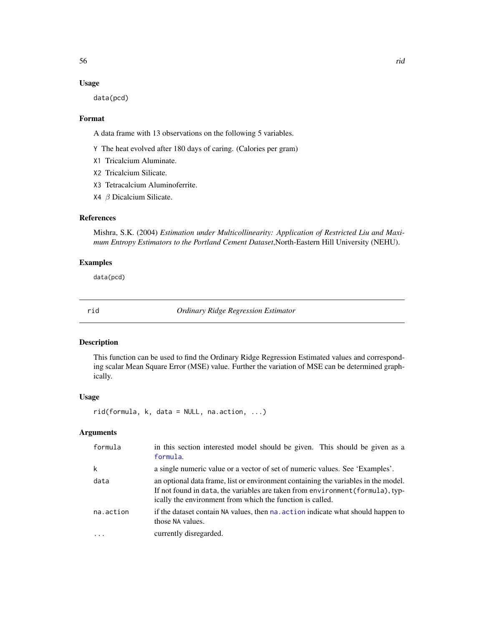#### <span id="page-55-0"></span>Usage

data(pcd)

#### Format

A data frame with 13 observations on the following 5 variables.

- Y The heat evolved after 180 days of caring. (Calories per gram)
- X1 Tricalcium Aluminate.
- X2 Tricalcium Silicate.
- X3 Tetracalcium Aluminoferrite.
- X4 β Dicalcium Silicate.

#### References

Mishra, S.K. (2004) *Estimation under Multicollinearity: Application of Restricted Liu and Maximum Entropy Estimators to the Portland Cement Dataset*,North-Eastern Hill University (NEHU).

#### Examples

data(pcd)

rid *Ordinary Ridge Regression Estimator*

#### Description

This function can be used to find the Ordinary Ridge Regression Estimated values and corresponding scalar Mean Square Error (MSE) value. Further the variation of MSE can be determined graphically.

#### Usage

rid(formula, k, data = NULL, na.action, ...)

#### Arguments

| formula   | in this section interested model should be given. This should be given as a<br>formula.                                                                                                                                           |
|-----------|-----------------------------------------------------------------------------------------------------------------------------------------------------------------------------------------------------------------------------------|
| k         | a single numeric value or a vector of set of numeric values. See 'Examples'.                                                                                                                                                      |
| data      | an optional data frame, list or environment containing the variables in the model.<br>If not found in data, the variables are taken from environment (formula), typ-<br>ically the environment from which the function is called. |
| na.action | if the dataset contain NA values, then na, action indicate what should happen to<br>those NA values.                                                                                                                              |
|           | currently disregarded.                                                                                                                                                                                                            |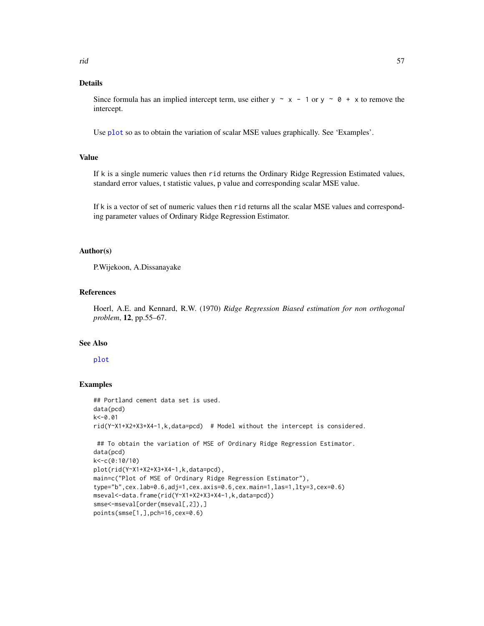#### <span id="page-56-0"></span>Details

Since formula has an implied intercept term, use either y  $\sim x - 1$  or y  $\sim \theta + x$  to remove the intercept.

Use [plot](#page-0-0) so as to obtain the variation of scalar MSE values graphically. See 'Examples'.

### Value

If k is a single numeric values then rid returns the Ordinary Ridge Regression Estimated values, standard error values, t statistic values, p value and corresponding scalar MSE value.

If k is a vector of set of numeric values then rid returns all the scalar MSE values and corresponding parameter values of Ordinary Ridge Regression Estimator.

#### Author(s)

P.Wijekoon, A.Dissanayake

#### References

Hoerl, A.E. and Kennard, R.W. (1970) *Ridge Regression Biased estimation for non orthogonal problem*, 12, pp.55–67.

#### See Also

#### [plot](#page-0-0)

```
## Portland cement data set is used.
data(pcd)
k<-0.01
rid(Y~X1+X2+X3+X4-1,k,data=pcd) # Model without the intercept is considered.
## To obtain the variation of MSE of Ordinary Ridge Regression Estimator.
data(pcd)
k<-c(0:10/10)
plot(rid(Y~X1+X2+X3+X4-1,k,data=pcd),
main=c("Plot of MSE of Ordinary Ridge Regression Estimator"),
type="b",cex.lab=0.6,adj=1,cex.axis=0.6,cex.main=1,las=1,lty=3,cex=0.6)
mseval<-data.frame(rid(Y~X1+X2+X3+X4-1,k,data=pcd))
smse<-mseval[order(mseval[,2]),]
points(smse[1,],pch=16,cex=0.6)
```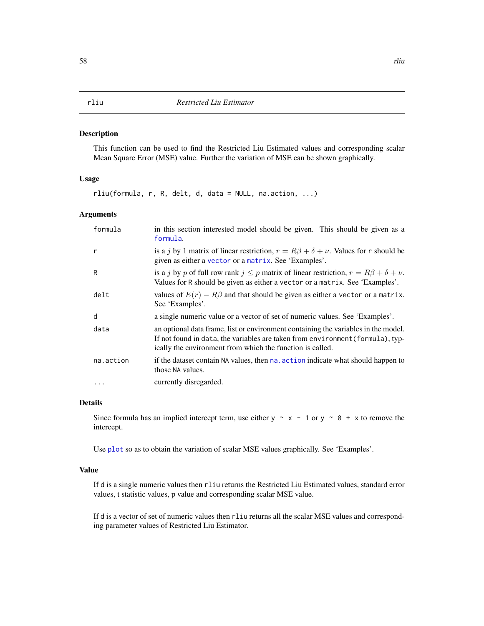#### <span id="page-57-0"></span>Description

This function can be used to find the Restricted Liu Estimated values and corresponding scalar Mean Square Error (MSE) value. Further the variation of MSE can be shown graphically.

#### Usage

rliu(formula, r, R, delt, d, data = NULL, na.action, ...)

#### Arguments

| formula   | in this section interested model should be given. This should be given as a<br>formula.                                                                                                                                           |
|-----------|-----------------------------------------------------------------------------------------------------------------------------------------------------------------------------------------------------------------------------------|
| r         | is a j by 1 matrix of linear restriction, $r = R\beta + \delta + \nu$ . Values for r should be<br>given as either a vector or a matrix. See 'Examples'.                                                                           |
| R         | is a j by p of full row rank $j \leq p$ matrix of linear restriction, $r = R\beta + \delta + \nu$ .<br>Values for R should be given as either a vector or a matrix. See 'Examples'.                                               |
| delt      | values of $E(r) - R\beta$ and that should be given as either a vector or a matrix.<br>See 'Examples'.                                                                                                                             |
| d         | a single numeric value or a vector of set of numeric values. See 'Examples'.                                                                                                                                                      |
| data      | an optional data frame, list or environment containing the variables in the model.<br>If not found in data, the variables are taken from environment (formula), typ-<br>ically the environment from which the function is called. |
| na.action | if the dataset contain NA values, then na, action indicate what should happen to<br>those NA values.                                                                                                                              |
| .         | currently disregarded.                                                                                                                                                                                                            |

#### Details

Since formula has an implied intercept term, use either y  $\sim x - 1$  or y  $\sim \emptyset + x$  to remove the intercept.

Use [plot](#page-0-0) so as to obtain the variation of scalar MSE values graphically. See 'Examples'.

#### Value

If d is a single numeric values then rliu returns the Restricted Liu Estimated values, standard error values, t statistic values, p value and corresponding scalar MSE value.

If d is a vector of set of numeric values then rliu returns all the scalar MSE values and corresponding parameter values of Restricted Liu Estimator.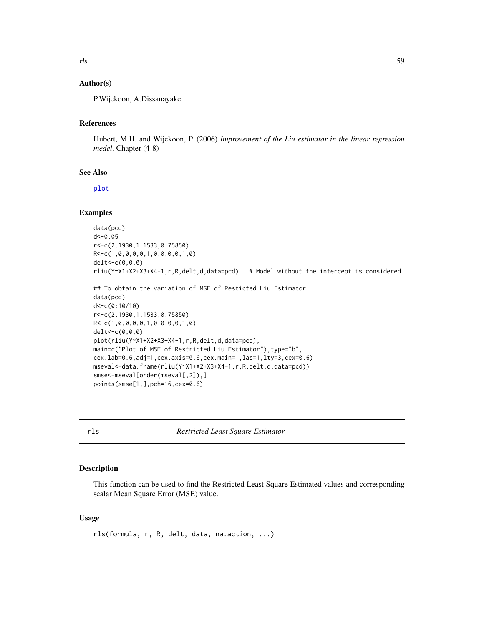#### <span id="page-58-0"></span>Author(s)

P.Wijekoon, A.Dissanayake

#### References

Hubert, M.H. and Wijekoon, P. (2006) *Improvement of the Liu estimator in the linear regression medel*, Chapter (4-8)

#### See Also

[plot](#page-0-0)

#### Examples

```
data(pcd)
d < -0.05r<-c(2.1930,1.1533,0.75850)
R<-c(1,0,0,0,0,1,0,0,0,0,1,0)
delt<-c(0,0,0)
rliu(Y~X1+X2+X3+X4-1,r,R,delt,d,data=pcd) # Model without the intercept is considered.
```

```
## To obtain the variation of MSE of Resticted Liu Estimator.
data(pcd)
d<-c(0:10/10)
r<-c(2.1930,1.1533,0.75850)
R<-c(1,0,0,0,0,1,0,0,0,0,1,0)
delt<-c(0,0,0)
plot(rliu(Y~X1+X2+X3+X4-1,r,R,delt,d,data=pcd),
main=c("Plot of MSE of Restricted Liu Estimator"), type="b",
cex.lab=0.6,adj=1,cex.axis=0.6,cex.main=1,las=1,lty=3,cex=0.6)
mseval<-data.frame(rliu(Y~X1+X2+X3+X4-1,r,R,delt,d,data=pcd))
smse<-mseval[order(mseval[,2]),]
points(smse[1,],pch=16,cex=0.6)
```
rls *Restricted Least Square Estimator*

#### Description

This function can be used to find the Restricted Least Square Estimated values and corresponding scalar Mean Square Error (MSE) value.

#### Usage

rls(formula, r, R, delt, data, na.action, ...)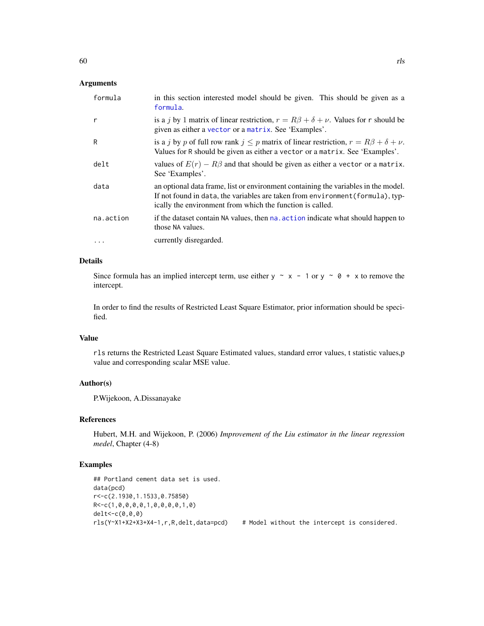<span id="page-59-0"></span>

| formula   | in this section interested model should be given. This should be given as a<br>formula.                                                                                                                                           |
|-----------|-----------------------------------------------------------------------------------------------------------------------------------------------------------------------------------------------------------------------------------|
| r         | is a j by 1 matrix of linear restriction, $r = R\beta + \delta + \nu$ . Values for r should be<br>given as either a vector or a matrix. See 'Examples'.                                                                           |
| R         | is a j by p of full row rank $j \leq p$ matrix of linear restriction, $r = R\beta + \delta + \nu$ .<br>Values for R should be given as either a vector or a matrix. See 'Examples'.                                               |
| delt      | values of $E(r) - R\beta$ and that should be given as either a vector or a matrix.<br>See 'Examples'.                                                                                                                             |
| data      | an optional data frame, list or environment containing the variables in the model.<br>If not found in data, the variables are taken from environment (formula), typ-<br>ically the environment from which the function is called. |
| na.action | if the dataset contain NA values, then na, action indicate what should happen to<br>those NA values.                                                                                                                              |
| .         | currently disregarded.                                                                                                                                                                                                            |

#### Details

Since formula has an implied intercept term, use either  $y \sim x - 1$  or  $y \sim 0 + x$  to remove the intercept.

In order to find the results of Restricted Least Square Estimator, prior information should be specified.

#### Value

rls returns the Restricted Least Square Estimated values, standard error values, t statistic values,p value and corresponding scalar MSE value.

#### Author(s)

P.Wijekoon, A.Dissanayake

#### References

Hubert, M.H. and Wijekoon, P. (2006) *Improvement of the Liu estimator in the linear regression medel*, Chapter (4-8)

```
## Portland cement data set is used.
data(pcd)
r<-c(2.1930,1.1533,0.75850)
R<-c(1,0,0,0,0,1,0,0,0,0,1,0)
delt<-c(0,0,0)
rls(Y~X1+X2+X3+X4-1,r,R,delt,data=pcd) # Model without the intercept is considered.
```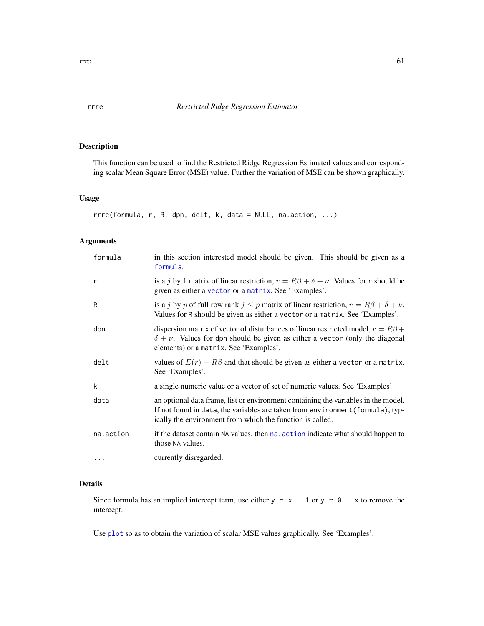#### Description

This function can be used to find the Restricted Ridge Regression Estimated values and corresponding scalar Mean Square Error (MSE) value. Further the variation of MSE can be shown graphically.

#### Usage

```
rrre(formula, r, R, dpn, delt, k, data = NULL, na.action, ...)
```
#### Arguments

| formula   | in this section interested model should be given. This should be given as a<br>formula.                                                                                                                                           |
|-----------|-----------------------------------------------------------------------------------------------------------------------------------------------------------------------------------------------------------------------------------|
| r         | is a j by 1 matrix of linear restriction, $r = R\beta + \delta + \nu$ . Values for r should be<br>given as either a vector or a matrix. See 'Examples'.                                                                           |
| R         | is a j by p of full row rank $j \leq p$ matrix of linear restriction, $r = R\beta + \delta + \nu$ .<br>Values for R should be given as either a vector or a matrix. See 'Examples'.                                               |
| dpn       | dispersion matrix of vector of disturbances of linear restricted model, $r = R\beta +$<br>$\delta + \nu$ . Values for dpn should be given as either a vector (only the diagonal<br>elements) or a matrix. See 'Examples'.         |
| delt      | values of $E(r) - R\beta$ and that should be given as either a vector or a matrix.<br>See 'Examples'.                                                                                                                             |
| k         | a single numeric value or a vector of set of numeric values. See 'Examples'.                                                                                                                                                      |
| data      | an optional data frame, list or environment containing the variables in the model.<br>If not found in data, the variables are taken from environment (formula), typ-<br>ically the environment from which the function is called. |
| na.action | if the dataset contain NA values, then nales action indicate what should happen to<br>those NA values.                                                                                                                            |
| $\cdots$  | currently disregarded.                                                                                                                                                                                                            |

### Details

Since formula has an implied intercept term, use either  $y \sim x - 1$  or  $y \sim 0 + x$  to remove the intercept.

Use [plot](#page-0-0) so as to obtain the variation of scalar MSE values graphically. See 'Examples'.

<span id="page-60-0"></span>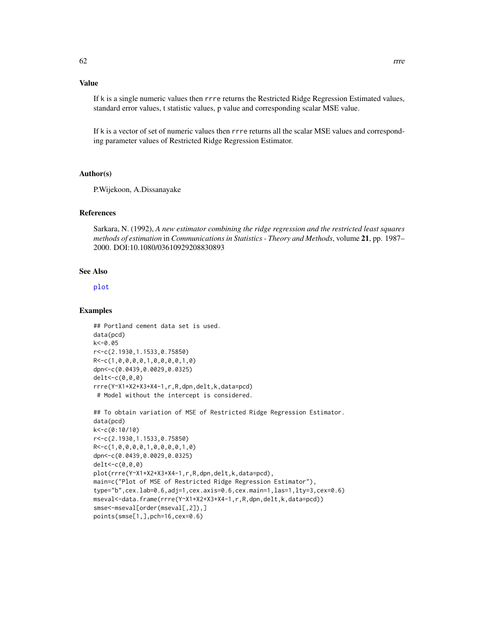#### Value

If k is a single numeric values then rrre returns the Restricted Ridge Regression Estimated values, standard error values, t statistic values, p value and corresponding scalar MSE value.

If k is a vector of set of numeric values then rrre returns all the scalar MSE values and corresponding parameter values of Restricted Ridge Regression Estimator.

#### Author(s)

P.Wijekoon, A.Dissanayake

#### References

Sarkara, N. (1992), *A new estimator combining the ridge regression and the restricted least squares methods of estimation* in *Communications in Statistics - Theory and Methods*, volume 21, pp. 1987– 2000. DOI:10.1080/03610929208830893

#### See Also

[plot](#page-0-0)

```
## Portland cement data set is used.
data(pcd)
k<-0.05
r<-c(2.1930,1.1533,0.75850)
R<-c(1,0,0,0,0,1,0,0,0,0,1,0)
dpn<-c(0.0439,0.0029,0.0325)
delt<-c(0,0,0)
rrre(Y~X1+X2+X3+X4-1,r,R,dpn,delt,k,data=pcd)
 # Model without the intercept is considered.
## To obtain variation of MSE of Restricted Ridge Regression Estimator.
```

```
data(pcd)
k<-c(0:10/10)
r<-c(2.1930,1.1533,0.75850)
R<-c(1,0,0,0,0,1,0,0,0,0,1,0)
dpn<-c(0.0439,0.0029,0.0325)
delt<-c(0,0,0)
plot(rrre(Y~X1+X2+X3+X4-1,r,R,dpn,delt,k,data=pcd),
main=c("Plot of MSE of Restricted Ridge Regression Estimator"),
type="b",cex.lab=0.6,adj=1,cex.axis=0.6,cex.main=1,las=1,lty=3,cex=0.6)
mseval<-data.frame(rrre(Y~X1+X2+X3+X4-1,r,R,dpn,delt,k,data=pcd))
smse<-mseval[order(mseval[,2]),]
points(smse[1,],pch=16,cex=0.6)
```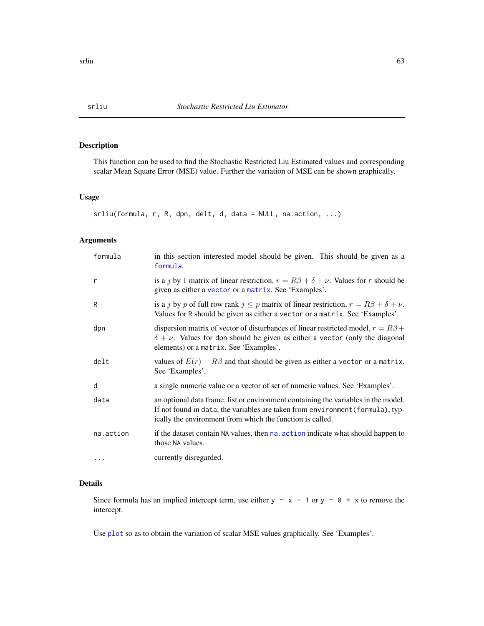#### <span id="page-62-0"></span>Description

This function can be used to find the Stochastic Restricted Liu Estimated values and corresponding scalar Mean Square Error (MSE) value. Further the variation of MSE can be shown graphically.

#### Usage

```
srliu(formula, r, R, dpn, delt, d, data = NULL, na.action, ...)
```
#### Arguments

| formula   | in this section interested model should be given. This should be given as a<br>formula.                                                                                                                                           |
|-----------|-----------------------------------------------------------------------------------------------------------------------------------------------------------------------------------------------------------------------------------|
| r         | is a j by 1 matrix of linear restriction, $r = R\beta + \delta + \nu$ . Values for r should be<br>given as either a vector or a matrix. See 'Examples'.                                                                           |
| R         | is a j by p of full row rank $j \leq p$ matrix of linear restriction, $r = R\beta + \delta + \nu$ .<br>Values for R should be given as either a vector or a matrix. See 'Examples'.                                               |
| dpn       | dispersion matrix of vector of disturbances of linear restricted model, $r = R\beta +$<br>$\delta + \nu$ . Values for dpn should be given as either a vector (only the diagonal<br>elements) or a matrix. See 'Examples'.         |
| delt      | values of $E(r) - R\beta$ and that should be given as either a vector or a matrix.<br>See 'Examples'.                                                                                                                             |
| d         | a single numeric value or a vector of set of numeric values. See 'Examples'.                                                                                                                                                      |
| data      | an optional data frame, list or environment containing the variables in the model.<br>If not found in data, the variables are taken from environment (formula), typ-<br>ically the environment from which the function is called. |
| na.action | if the dataset contain NA values, then na. action indicate what should happen to<br>those NA values.                                                                                                                              |
| $\cdots$  | currently disregarded.                                                                                                                                                                                                            |

### Details

Since formula has an implied intercept term, use either  $y \sim x - 1$  or  $y \sim 0 + x$  to remove the intercept.

Use [plot](#page-0-0) so as to obtain the variation of scalar MSE values graphically. See 'Examples'.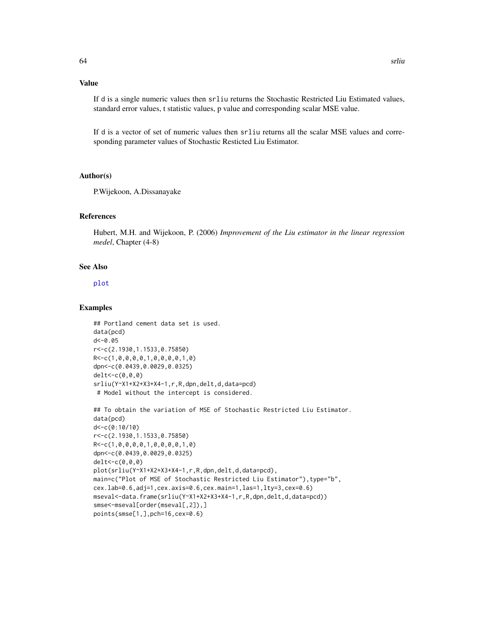#### Value

If d is a single numeric values then srliu returns the Stochastic Restricted Liu Estimated values, standard error values, t statistic values, p value and corresponding scalar MSE value.

If d is a vector of set of numeric values then srliu returns all the scalar MSE values and corresponding parameter values of Stochastic Resticted Liu Estimator.

#### Author(s)

P.Wijekoon, A.Dissanayake

#### References

Hubert, M.H. and Wijekoon, P. (2006) *Improvement of the Liu estimator in the linear regression medel*, Chapter (4-8)

#### See Also

#### [plot](#page-0-0)

```
## Portland cement data set is used.
data(pcd)
d < -0.05r<-c(2.1930,1.1533,0.75850)
R<-c(1,0,0,0,0,1,0,0,0,0,1,0)
dpn<-c(0.0439,0.0029,0.0325)
delt<-c(0,0,0)
srliu(Y~X1+X2+X3+X4-1,r,R,dpn,delt,d,data=pcd)
 # Model without the intercept is considered.
```

```
## To obtain the variation of MSE of Stochastic Restricted Liu Estimator.
data(pcd)
d<-c(0:10/10)
r<-c(2.1930,1.1533,0.75850)
R<-c(1,0,0,0,0,1,0,0,0,0,1,0)
dpn<-c(0.0439,0.0029,0.0325)
delt<-c(0,0,0)
plot(srliu(Y~X1+X2+X3+X4-1,r,R,dpn,delt,d,data=pcd),
main=c("Plot of MSE of Stochastic Restricted Liu Estimator"),type="b",
cex.lab=0.6,adj=1,cex.axis=0.6,cex.main=1,las=1,lty=3,cex=0.6)
mseval<-data.frame(srliu(Y~X1+X2+X3+X4-1,r,R,dpn,delt,d,data=pcd))
smse<-mseval[order(mseval[,2]),]
points(smse[1,],pch=16,cex=0.6)
```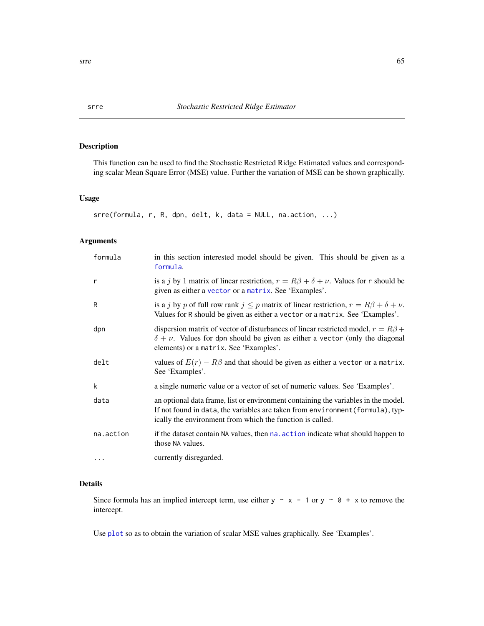#### Description

This function can be used to find the Stochastic Restricted Ridge Estimated values and corresponding scalar Mean Square Error (MSE) value. Further the variation of MSE can be shown graphically.

#### Usage

```
srre(formula, r, R, dpn, delt, k, data = NULL, na.action, ...)
```
#### Arguments

| formula   | in this section interested model should be given. This should be given as a<br>formula.                                                                                                                                           |
|-----------|-----------------------------------------------------------------------------------------------------------------------------------------------------------------------------------------------------------------------------------|
| r         | is a j by 1 matrix of linear restriction, $r = R\beta + \delta + \nu$ . Values for r should be<br>given as either a vector or a matrix. See 'Examples'.                                                                           |
| R         | is a j by p of full row rank $j \leq p$ matrix of linear restriction, $r = R\beta + \delta + \nu$ .<br>Values for R should be given as either a vector or a matrix. See 'Examples'.                                               |
| dpn       | dispersion matrix of vector of disturbances of linear restricted model, $r = R\beta +$<br>$\delta + \nu$ . Values for dpn should be given as either a vector (only the diagonal<br>elements) or a matrix. See 'Examples'.         |
| delt      | values of $E(r) - R\beta$ and that should be given as either a vector or a matrix.<br>See 'Examples'.                                                                                                                             |
| k         | a single numeric value or a vector of set of numeric values. See 'Examples'.                                                                                                                                                      |
| data      | an optional data frame, list or environment containing the variables in the model.<br>If not found in data, the variables are taken from environment (formula), typ-<br>ically the environment from which the function is called. |
| na.action | if the dataset contain NA values, then nales action indicate what should happen to<br>those NA values.                                                                                                                            |
| $\cdot$   | currently disregarded.                                                                                                                                                                                                            |

### Details

Since formula has an implied intercept term, use either  $y \sim x - 1$  or  $y \sim 0 + x$  to remove the intercept.

Use [plot](#page-0-0) so as to obtain the variation of scalar MSE values graphically. See 'Examples'.

<span id="page-64-0"></span>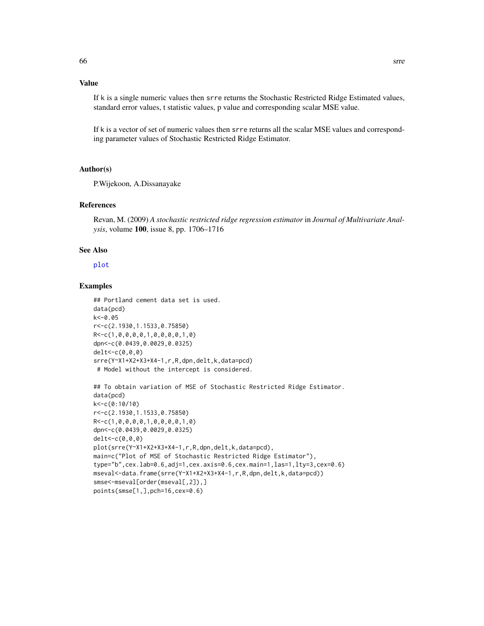#### <span id="page-65-0"></span>Value

If k is a single numeric values then srre returns the Stochastic Restricted Ridge Estimated values, standard error values, t statistic values, p value and corresponding scalar MSE value.

If k is a vector of set of numeric values then srre returns all the scalar MSE values and corresponding parameter values of Stochastic Restricted Ridge Estimator.

#### Author(s)

P.Wijekoon, A.Dissanayake

#### References

Revan, M. (2009) *A stochastic restricted ridge regression estimator* in *Journal of Multivariate Analysis*, volume 100, issue 8, pp. 1706–1716

#### See Also

[plot](#page-0-0)

```
## Portland cement data set is used.
data(pcd)
k<-0.05
r<-c(2.1930,1.1533,0.75850)
R<-c(1,0,0,0,0,1,0,0,0,0,1,0)
dpn<-c(0.0439,0.0029,0.0325)
delt<-c(0,0,0)
srre(Y~X1+X2+X3+X4-1,r,R,dpn,delt,k,data=pcd)
# Model without the intercept is considered.
```

```
## To obtain variation of MSE of Stochastic Restricted Ridge Estimator.
data(pcd)
k<-c(0:10/10)
r<-c(2.1930,1.1533,0.75850)
R<-c(1,0,0,0,0,1,0,0,0,0,1,0)
dpn<-c(0.0439,0.0029,0.0325)
delt<-c(0,0,0)
plot(srre(Y~X1+X2+X3+X4-1,r,R,dpn,delt,k,data=pcd),
main=c("Plot of MSE of Stochastic Restricted Ridge Estimator"),
type="b",cex.lab=0.6,adj=1,cex.axis=0.6,cex.main=1,las=1,lty=3,cex=0.6)
mseval<-data.frame(srre(Y~X1+X2+X3+X4-1,r,R,dpn,delt,k,data=pcd))
smse<-mseval[order(mseval[,2]),]
points(smse[1,],pch=16,cex=0.6)
```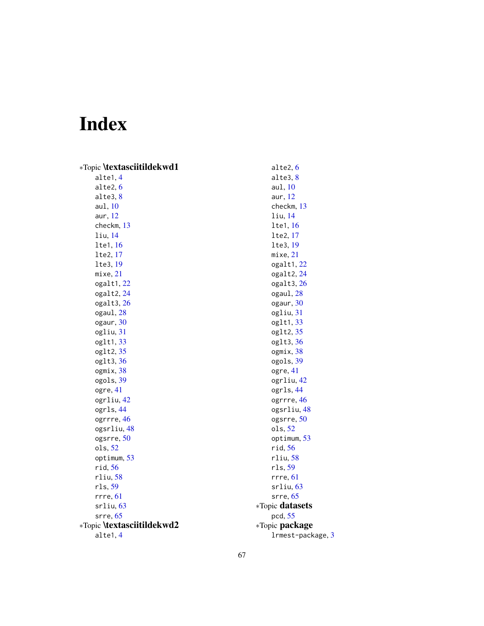# <span id="page-66-0"></span>Index

| *Topic <b>\textasciitildekwd1</b> | alte2, 6              |
|-----------------------------------|-----------------------|
| alte1, 4                          | alte3, 8              |
| alte2, 6                          | aul, 10               |
| alte3, 8                          | aur, $12$             |
| aul, 10                           | checkm, 13            |
| aur, $12$                         | $1$ iu, $14$          |
| checkm, 13                        | lte1, 16              |
| liu, 14                           | lte2, 17              |
| lte1, 16                          | lte3, 19              |
| lte2, 17                          | mixe, 21              |
| lte3, 19                          | ogalt1, 22            |
| mixe, 21                          | ogalt2, 24            |
| ogalt1, 22                        | ogalt3, 26            |
| ogalt2, 24                        | ogaul, 28             |
| ogalt3, 26                        | ogaur, 30             |
| ogaul, 28                         | ogliu, 31             |
| ogaur, 30                         | oglt1, 33             |
| ogliu, 31                         | oglt2, 35             |
| oglt1, 33                         | oglt3, 36             |
| oglt2, 35                         | ogmix, 38             |
| oglt3, 36                         | ogols, 39             |
| ogmix, 38                         | ogre, 41              |
| ogols, 39                         | ogrliu, 42            |
| ogre, 41                          | ogrls, 44             |
| ogrliu, 42                        | ogrrre, 46            |
| ogrls, 44                         | ogsrliu, 48           |
| ogrrre, 46                        | ogsrre, 50            |
| ogsrliu, 48                       | ols, 52               |
| ogsrre, 50                        | optimum, 53           |
| ols, 52                           | rid, 56               |
| optimum, 53                       | rliu, 58              |
| rid, 56                           | rls, 59               |
| rliu, 58                          | rrre, 61              |
| rls, 59                           | srliu, 63             |
| rrre, 61                          | src, 65               |
| $s$ rliu, $63$                    | *Topic datasets       |
| $s$ rre, $65$                     | pcd, 55               |
| *Topic <b>\textasciitildekwd2</b> | *Topic <b>package</b> |
| alte1, 4                          | 1rmest-package, 3     |